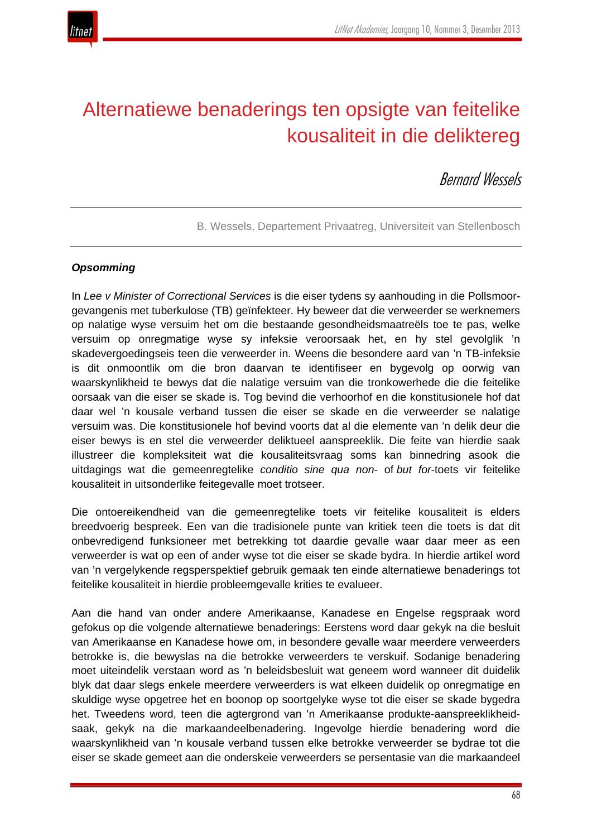

# Alternatiewe benaderings ten opsigte van feitelike kousaliteit in die deliktereg

Bernard Wessels

B. Wessels, Departement Privaatreg, Universiteit van Stellenbosch

## *Opsomming*

In *Lee v Minister of Correctional Services* is die eiser tydens sy aanhouding in die Pollsmoorgevangenis met tuberkulose (TB) geïnfekteer. Hy beweer dat die verweerder se werknemers op nalatige wyse versuim het om die bestaande gesondheidsmaatreëls toe te pas, welke versuim op onregmatige wyse sy infeksie veroorsaak het, en hy stel gevolglik 'n skadevergoedingseis teen die verweerder in. Weens die besondere aard van 'n TB-infeksie is dit onmoontlik om die bron daarvan te identifiseer en bygevolg op oorwig van waarskynlikheid te bewys dat die nalatige versuim van die tronkowerhede die die feitelike oorsaak van die eiser se skade is. Tog bevind die verhoorhof en die konstitusionele hof dat daar wel 'n kousale verband tussen die eiser se skade en die verweerder se nalatige versuim was. Die konstitusionele hof bevind voorts dat al die elemente van 'n delik deur die eiser bewys is en stel die verweerder deliktueel aanspreeklik. Die feite van hierdie saak illustreer die kompleksiteit wat die kousaliteitsvraag soms kan binnedring asook die uitdagings wat die gemeenregtelike *conditio sine qua non*- of *but for*-toets vir feitelike kousaliteit in uitsonderlike feitegevalle moet trotseer.

Die ontoereikendheid van die gemeenregtelike toets vir feitelike kousaliteit is elders breedvoerig bespreek. Een van die tradisionele punte van kritiek teen die toets is dat dit onbevredigend funksioneer met betrekking tot daardie gevalle waar daar meer as een verweerder is wat op een of ander wyse tot die eiser se skade bydra. In hierdie artikel word van 'n vergelykende regsperspektief gebruik gemaak ten einde alternatiewe benaderings tot feitelike kousaliteit in hierdie probleemgevalle krities te evalueer.

Aan die hand van onder andere Amerikaanse, Kanadese en Engelse regspraak word gefokus op die volgende alternatiewe benaderings: Eerstens word daar gekyk na die besluit van Amerikaanse en Kanadese howe om, in besondere gevalle waar meerdere verweerders betrokke is, die bewyslas na die betrokke verweerders te verskuif. Sodanige benadering moet uiteindelik verstaan word as 'n beleidsbesluit wat geneem word wanneer dit duidelik blyk dat daar slegs enkele meerdere verweerders is wat elkeen duidelik op onregmatige en skuldige wyse opgetree het en boonop op soortgelyke wyse tot die eiser se skade bygedra het. Tweedens word, teen die agtergrond van 'n Amerikaanse produkte-aanspreeklikheidsaak, gekyk na die markaandeelbenadering. Ingevolge hierdie benadering word die waarskynlikheid van 'n kousale verband tussen elke betrokke verweerder se bydrae tot die eiser se skade gemeet aan die onderskeie verweerders se persentasie van die markaandeel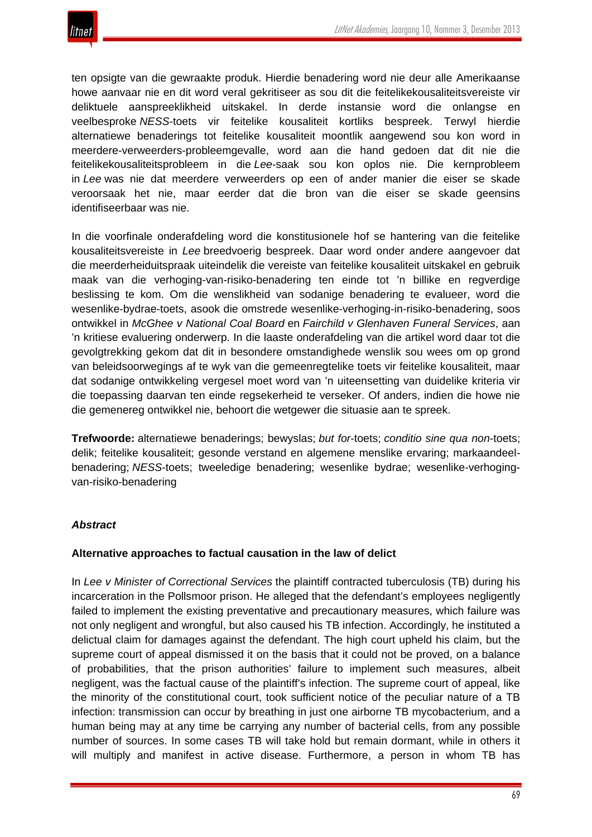ten opsigte van die gewraakte produk. Hierdie benadering word nie deur alle Amerikaanse howe aanvaar nie en dit word veral gekritiseer as sou dit die feitelikekousaliteitsvereiste vir deliktuele aanspreeklikheid uitskakel. In derde instansie word die onlangse en veelbesproke *NESS*-toets vir feitelike kousaliteit kortliks bespreek. Terwyl hierdie alternatiewe benaderings tot feitelike kousaliteit moontlik aangewend sou kon word in meerdere-verweerders-probleemgevalle, word aan die hand gedoen dat dit nie die feitelikekousaliteitsprobleem in die *Lee*-saak sou kon oplos nie. Die kernprobleem in *Lee* was nie dat meerdere verweerders op een of ander manier die eiser se skade veroorsaak het nie, maar eerder dat die bron van die eiser se skade geensins identifiseerbaar was nie.

In die voorfinale onderafdeling word die konstitusionele hof se hantering van die feitelike kousaliteitsvereiste in *Lee* breedvoerig bespreek. Daar word onder andere aangevoer dat die meerderheiduitspraak uiteindelik die vereiste van feitelike kousaliteit uitskakel en gebruik maak van die verhoging-van-risiko-benadering ten einde tot 'n billike en regverdige beslissing te kom. Om die wenslikheid van sodanige benadering te evalueer, word die wesenlike-bydrae-toets, asook die omstrede wesenlike-verhoging-in-risiko-benadering, soos ontwikkel in *McGhee v National Coal Board* en *Fairchild v Glenhaven Funeral Services*, aan 'n kritiese evaluering onderwerp. In die laaste onderafdeling van die artikel word daar tot die gevolgtrekking gekom dat dit in besondere omstandighede wenslik sou wees om op grond van beleidsoorwegings af te wyk van die gemeenregtelike toets vir feitelike kousaliteit, maar dat sodanige ontwikkeling vergesel moet word van 'n uiteensetting van duidelike kriteria vir die toepassing daarvan ten einde regsekerheid te verseker. Of anders, indien die howe nie die gemenereg ontwikkel nie, behoort die wetgewer die situasie aan te spreek.

**Trefwoorde:** alternatiewe benaderings; bewyslas; *but for*-toets; *conditio sine qua non*-toets; delik; feitelike kousaliteit; gesonde verstand en algemene menslike ervaring; markaandeelbenadering; *NESS*-toets; tweeledige benadering; wesenlike bydrae; wesenlike-verhogingvan-risiko-benadering

# *Abstract*

#### **Alternative approaches to factual causation in the law of delict**

In *Lee v Minister of Correctional Services* the plaintiff contracted tuberculosis (TB) during his incarceration in the Pollsmoor prison. He alleged that the defendant's employees negligently failed to implement the existing preventative and precautionary measures, which failure was not only negligent and wrongful, but also caused his TB infection. Accordingly, he instituted a delictual claim for damages against the defendant. The high court upheld his claim, but the supreme court of appeal dismissed it on the basis that it could not be proved, on a balance of probabilities, that the prison authorities' failure to implement such measures, albeit negligent, was the factual cause of the plaintiff's infection. The supreme court of appeal, like the minority of the constitutional court, took sufficient notice of the peculiar nature of a TB infection: transmission can occur by breathing in just one airborne TB mycobacterium, and a human being may at any time be carrying any number of bacterial cells, from any possible number of sources. In some cases TB will take hold but remain dormant, while in others it will multiply and manifest in active disease. Furthermore, a person in whom TB has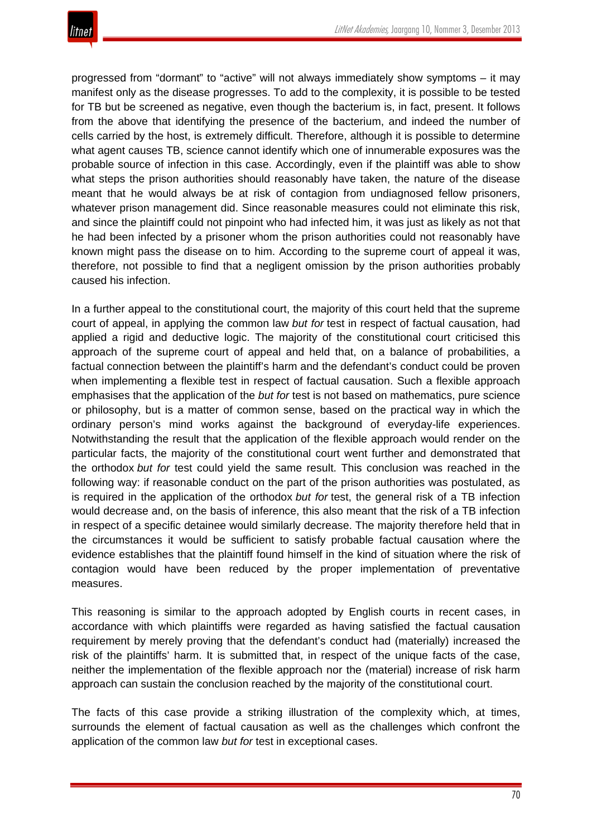

progressed from "dormant" to "active" will not always immediately show symptoms – it may manifest only as the disease progresses. To add to the complexity, it is possible to be tested for TB but be screened as negative, even though the bacterium is, in fact, present. It follows from the above that identifying the presence of the bacterium, and indeed the number of cells carried by the host, is extremely difficult. Therefore, although it is possible to determine what agent causes TB, science cannot identify which one of innumerable exposures was the probable source of infection in this case. Accordingly, even if the plaintiff was able to show what steps the prison authorities should reasonably have taken, the nature of the disease meant that he would always be at risk of contagion from undiagnosed fellow prisoners, whatever prison management did. Since reasonable measures could not eliminate this risk, and since the plaintiff could not pinpoint who had infected him, it was just as likely as not that he had been infected by a prisoner whom the prison authorities could not reasonably have known might pass the disease on to him. According to the supreme court of appeal it was, therefore, not possible to find that a negligent omission by the prison authorities probably caused his infection.

In a further appeal to the constitutional court, the majority of this court held that the supreme court of appeal, in applying the common law *but for* test in respect of factual causation, had applied a rigid and deductive logic. The majority of the constitutional court criticised this approach of the supreme court of appeal and held that, on a balance of probabilities, a factual connection between the plaintiff's harm and the defendant's conduct could be proven when implementing a flexible test in respect of factual causation. Such a flexible approach emphasises that the application of the *but for* test is not based on mathematics, pure science or philosophy, but is a matter of common sense, based on the practical way in which the ordinary person's mind works against the background of everyday-life experiences. Notwithstanding the result that the application of the flexible approach would render on the particular facts, the majority of the constitutional court went further and demonstrated that the orthodox *but for* test could yield the same result. This conclusion was reached in the following way: if reasonable conduct on the part of the prison authorities was postulated, as is required in the application of the orthodox *but for* test, the general risk of a TB infection would decrease and, on the basis of inference, this also meant that the risk of a TB infection in respect of a specific detainee would similarly decrease. The majority therefore held that in the circumstances it would be sufficient to satisfy probable factual causation where the evidence establishes that the plaintiff found himself in the kind of situation where the risk of contagion would have been reduced by the proper implementation of preventative measures.

This reasoning is similar to the approach adopted by English courts in recent cases, in accordance with which plaintiffs were regarded as having satisfied the factual causation requirement by merely proving that the defendant's conduct had (materially) increased the risk of the plaintiffs' harm. It is submitted that, in respect of the unique facts of the case, neither the implementation of the flexible approach nor the (material) increase of risk harm approach can sustain the conclusion reached by the majority of the constitutional court.

The facts of this case provide a striking illustration of the complexity which, at times, surrounds the element of factual causation as well as the challenges which confront the application of the common law *but for* test in exceptional cases.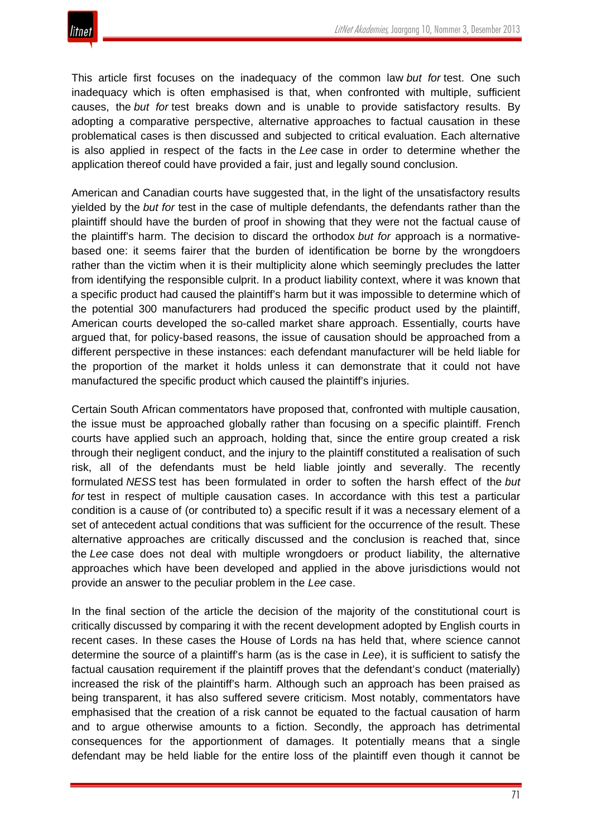This article first focuses on the inadequacy of the common law *but for* test. One such inadequacy which is often emphasised is that, when confronted with multiple, sufficient causes, the *but for* test breaks down and is unable to provide satisfactory results. By adopting a comparative perspective, alternative approaches to factual causation in these problematical cases is then discussed and subjected to critical evaluation. Each alternative is also applied in respect of the facts in the *Lee* case in order to determine whether the application thereof could have provided a fair, just and legally sound conclusion.

American and Canadian courts have suggested that, in the light of the unsatisfactory results yielded by the *but for* test in the case of multiple defendants, the defendants rather than the plaintiff should have the burden of proof in showing that they were not the factual cause of the plaintiff's harm. The decision to discard the orthodox *but for* approach is a normativebased one: it seems fairer that the burden of identification be borne by the wrongdoers rather than the victim when it is their multiplicity alone which seemingly precludes the latter from identifying the responsible culprit. In a product liability context, where it was known that a specific product had caused the plaintiff's harm but it was impossible to determine which of the potential 300 manufacturers had produced the specific product used by the plaintiff, American courts developed the so-called market share approach. Essentially, courts have argued that, for policy-based reasons, the issue of causation should be approached from a different perspective in these instances: each defendant manufacturer will be held liable for the proportion of the market it holds unless it can demonstrate that it could not have manufactured the specific product which caused the plaintiff's injuries.

Certain South African commentators have proposed that, confronted with multiple causation, the issue must be approached globally rather than focusing on a specific plaintiff. French courts have applied such an approach, holding that, since the entire group created a risk through their negligent conduct, and the injury to the plaintiff constituted a realisation of such risk, all of the defendants must be held liable jointly and severally. The recently formulated *NESS* test has been formulated in order to soften the harsh effect of the *but for* test in respect of multiple causation cases. In accordance with this test a particular condition is a cause of (or contributed to) a specific result if it was a necessary element of a set of antecedent actual conditions that was sufficient for the occurrence of the result. These alternative approaches are critically discussed and the conclusion is reached that, since the *Lee* case does not deal with multiple wrongdoers or product liability, the alternative approaches which have been developed and applied in the above jurisdictions would not provide an answer to the peculiar problem in the *Lee* case.

In the final section of the article the decision of the majority of the constitutional court is critically discussed by comparing it with the recent development adopted by English courts in recent cases. In these cases the House of Lords na has held that, where science cannot determine the source of a plaintiff's harm (as is the case in *Lee*), it is sufficient to satisfy the factual causation requirement if the plaintiff proves that the defendant's conduct (materially) increased the risk of the plaintiff's harm. Although such an approach has been praised as being transparent, it has also suffered severe criticism. Most notably, commentators have emphasised that the creation of a risk cannot be equated to the factual causation of harm and to argue otherwise amounts to a fiction. Secondly, the approach has detrimental consequences for the apportionment of damages. It potentially means that a single defendant may be held liable for the entire loss of the plaintiff even though it cannot be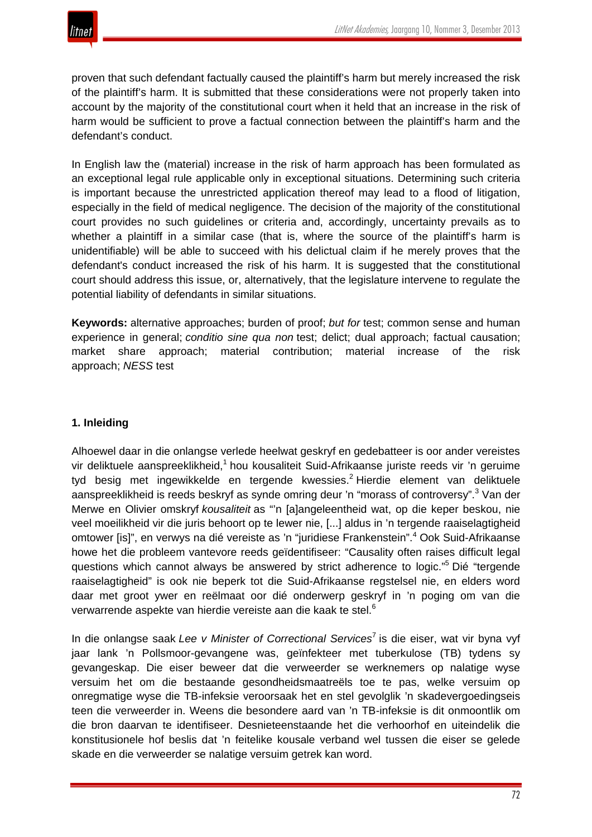

proven that such defendant factually caused the plaintiff's harm but merely increased the risk of the plaintiff's harm. It is submitted that these considerations were not properly taken into account by the majority of the constitutional court when it held that an increase in the risk of harm would be sufficient to prove a factual connection between the plaintiff's harm and the defendant's conduct.

In English law the (material) increase in the risk of harm approach has been formulated as an exceptional legal rule applicable only in exceptional situations. Determining such criteria is important because the unrestricted application thereof may lead to a flood of litigation, especially in the field of medical negligence. The decision of the majority of the constitutional court provides no such guidelines or criteria and, accordingly, uncertainty prevails as to whether a plaintiff in a similar case (that is, where the source of the plaintiff's harm is unidentifiable) will be able to succeed with his delictual claim if he merely proves that the defendant's conduct increased the risk of his harm. It is suggested that the constitutional court should address this issue, or, alternatively, that the legislature intervene to regulate the potential liability of defendants in similar situations.

**Keywords:** alternative approaches; burden of proof; *but for* test; common sense and human experience in general; *conditio sine qua non* test; delict; dual approach; factual causation; market share approach; material contribution; material increase of the risk approach; *NESS* test

### **1. Inleiding**

Alhoewel daar in die onlangse verlede heelwat geskryf en gedebatteer is oor ander vereistes vir deliktuele aanspreeklikheid,<sup>1</sup> hou kousaliteit Suid-Afrikaanse juriste reeds vir 'n geruime tyd besig met ingewikkelde en tergende kwessies.<sup>2</sup> Hierdie element van deliktuele aanspreeklikheid is reeds beskryf as synde omring deur 'n "morass of controversy".<sup>3</sup> Van der Merwe en Olivier omskryf *kousaliteit* as "'n [a]angeleentheid wat, op die keper beskou, nie veel moeilikheid vir die juris behoort op te lewer nie, [...] aldus in 'n tergende raaiselagtigheid omtower [is]", en verwys na dié vereiste as 'n "juridiese Frankenstein".<sup>4</sup> Ook Suid-Afrikaanse howe het die probleem vantevore reeds geïdentifiseer: "Causality often raises difficult legal questions which cannot always be answered by strict adherence to logic."<sup>5</sup> Dié "tergende raaiselagtigheid" is ook nie beperk tot die Suid-Afrikaanse regstelsel nie, en elders word daar met groot ywer en reëlmaat oor dié onderwerp geskryf in 'n poging om van die verwarrende aspekte van hierdie vereiste aan die kaak te stel.<sup>6</sup>

In die onlangse saak *Lee v Minister of Correctional Services*<sup>7</sup> is die eiser, wat vir byna vyf jaar lank 'n Pollsmoor-gevangene was, geïnfekteer met tuberkulose (TB) tydens sy gevangeskap. Die eiser beweer dat die verweerder se werknemers op nalatige wyse versuim het om die bestaande gesondheidsmaatreëls toe te pas, welke versuim op onregmatige wyse die TB-infeksie veroorsaak het en stel gevolglik 'n skadevergoedingseis teen die verweerder in. Weens die besondere aard van 'n TB-infeksie is dit onmoontlik om die bron daarvan te identifiseer. Desnieteenstaande het die verhoorhof en uiteindelik die konstitusionele hof beslis dat 'n feitelike kousale verband wel tussen die eiser se gelede skade en die verweerder se nalatige versuim getrek kan word.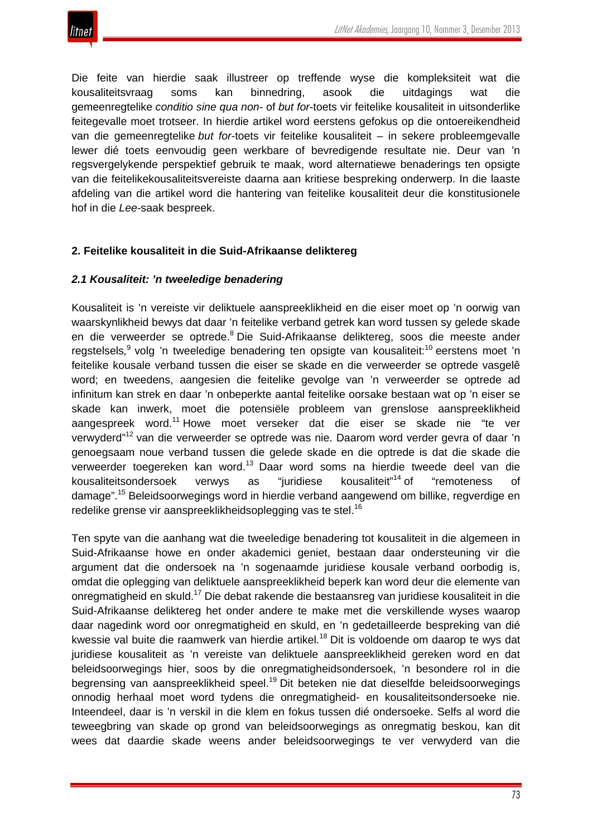

Die feite van hierdie saak illustreer op treffende wyse die kompleksiteit wat die kousaliteitsvraag soms kan binnedring, asook die uitdagings wat die gemeenregtelike *conditio sine qua non*- of *but for*-toets vir feitelike kousaliteit in uitsonderlike feitegevalle moet trotseer. In hierdie artikel word eerstens gefokus op die ontoereikendheid van die gemeenregtelike *but for*-toets vir feitelike kousaliteit – in sekere probleemgevalle lewer dié toets eenvoudig geen werkbare of bevredigende resultate nie. Deur van 'n regsvergelykende perspektief gebruik te maak, word alternatiewe benaderings ten opsigte van die feitelikekousaliteitsvereiste daarna aan kritiese bespreking onderwerp. In die laaste afdeling van die artikel word die hantering van feitelike kousaliteit deur die konstitusionele hof in die *Lee-*saak bespreek.

#### **2. Feitelike kousaliteit in die Suid-Afrikaanse deliktereg**

#### *2.1 Kousaliteit: 'n tweeledige benadering*

Kousaliteit is 'n vereiste vir deliktuele aanspreeklikheid en die eiser moet op 'n oorwig van waarskynlikheid bewys dat daar 'n feitelike verband getrek kan word tussen sy gelede skade en die verweerder se optrede.<sup>8</sup> Die Suid-Afrikaanse deliktereg, soos die meeste ander regstelsels,<sup>9</sup> volg 'n tweeledige benadering ten opsigte van kousaliteit:<sup>10</sup> eerstens moet 'n feitelike kousale verband tussen die eiser se skade en die verweerder se optrede vasgelê word; en tweedens, aangesien die feitelike gevolge van 'n verweerder se optrede ad infinitum kan strek en daar 'n onbeperkte aantal feitelike oorsake bestaan wat op 'n eiser se skade kan inwerk, moet die potensiële probleem van grenslose aanspreeklikheid aangespreek word.<sup>11</sup> Howe moet verseker dat die eiser se skade nie "te ver verwyderd"<sup>12</sup> van die verweerder se optrede was nie. Daarom word verder gevra of daar 'n genoegsaam noue verband tussen die gelede skade en die optrede is dat die skade die verweerder toegereken kan word.<sup>13</sup> Daar word soms na hierdie tweede deel van die kousaliteitsondersoek verwys as "juridiese kousaliteit"14 of "remoteness of damage".<sup>15</sup> Beleidsoorwegings word in hierdie verband aangewend om billike, regverdige en redelike grense vir aanspreeklikheidsoplegging vas te stel.<sup>16</sup>

Ten spyte van die aanhang wat die tweeledige benadering tot kousaliteit in die algemeen in Suid-Afrikaanse howe en onder akademici geniet, bestaan daar ondersteuning vir die argument dat die ondersoek na 'n sogenaamde juridiese kousale verband oorbodig is, omdat die oplegging van deliktuele aanspreeklikheid beperk kan word deur die elemente van onregmatigheid en skuld.<sup>17</sup> Die debat rakende die bestaansreg van juridiese kousaliteit in die Suid-Afrikaanse deliktereg het onder andere te make met die verskillende wyses waarop daar nagedink word oor onregmatigheid en skuld, en 'n gedetailleerde bespreking van dié kwessie val buite die raamwerk van hierdie artikel.<sup>18</sup> Dit is voldoende om daarop te wys dat juridiese kousaliteit as 'n vereiste van deliktuele aanspreeklikheid gereken word en dat beleidsoorwegings hier, soos by die onregmatigheidsondersoek, 'n besondere rol in die begrensing van aanspreeklikheid speel.<sup>19</sup> Dit beteken nie dat dieselfde beleidsoorwegings onnodig herhaal moet word tydens die onregmatigheid- en kousaliteitsondersoeke nie. Inteendeel, daar is 'n verskil in die klem en fokus tussen dié ondersoeke. Selfs al word die teweegbring van skade op grond van beleidsoorwegings as onregmatig beskou, kan dit wees dat daardie skade weens ander beleidsoorwegings te ver verwyderd van die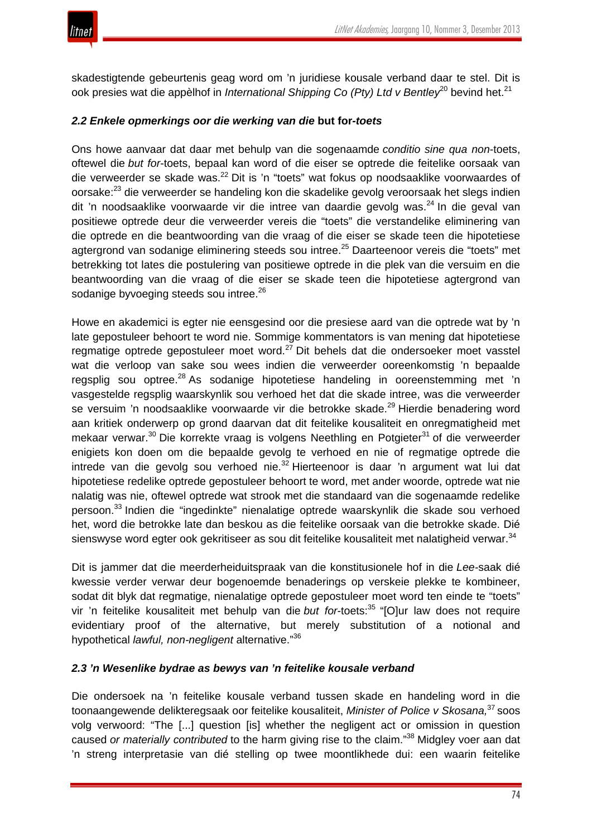skadestigtende gebeurtenis geag word om 'n juridiese kousale verband daar te stel. Dit is ook presies wat die appèlhof in *International Shipping Co (Pty) Ltd v Bentley*<sup>20</sup> bevind het.<sup>21</sup>

# *2.2 Enkele opmerkings oor die werking van die* **but for***-toets*

Ons howe aanvaar dat daar met behulp van die sogenaamde *conditio sine qua non*-toets, oftewel die *but for*-toets, bepaal kan word of die eiser se optrede die feitelike oorsaak van die verweerder se skade was.<sup>22</sup> Dit is 'n "toets" wat fokus op noodsaaklike voorwaardes of oorsake:<sup>23</sup> die verweerder se handeling kon die skadelike gevolg veroorsaak het slegs indien dit 'n noodsaaklike voorwaarde vir die intree van daardie gevolg was.<sup>24</sup> In die geval van positiewe optrede deur die verweerder vereis die "toets" die verstandelike eliminering van die optrede en die beantwoording van die vraag of die eiser se skade teen die hipotetiese agtergrond van sodanige eliminering steeds sou intree.<sup>25</sup> Daarteenoor vereis die "toets" met betrekking tot lates die postulering van positiewe optrede in die plek van die versuim en die beantwoording van die vraag of die eiser se skade teen die hipotetiese agtergrond van sodanige byvoeging steeds sou intree.<sup>26</sup>

Howe en akademici is egter nie eensgesind oor die presiese aard van die optrede wat by 'n late gepostuleer behoort te word nie. Sommige kommentators is van mening dat hipotetiese regmatige optrede gepostuleer moet word.<sup>27</sup> Dit behels dat die ondersoeker moet vasstel wat die verloop van sake sou wees indien die verweerder ooreenkomstig 'n bepaalde regsplig sou optree.<sup>28</sup> As sodanige hipotetiese handeling in ooreenstemming met 'n vasgestelde regsplig waarskynlik sou verhoed het dat die skade intree, was die verweerder se versuim 'n noodsaaklike voorwaarde vir die betrokke skade.<sup>29</sup> Hierdie benadering word aan kritiek onderwerp op grond daarvan dat dit feitelike kousaliteit en onregmatigheid met mekaar verwar.<sup>30</sup> Die korrekte vraag is volgens Neethling en Potgieter<sup>31</sup> of die verweerder enigiets kon doen om die bepaalde gevolg te verhoed en nie of regmatige optrede die intrede van die gevolg sou verhoed nie.<sup>32</sup> Hierteenoor is daar 'n argument wat lui dat hipotetiese redelike optrede gepostuleer behoort te word, met ander woorde, optrede wat nie nalatig was nie, oftewel optrede wat strook met die standaard van die sogenaamde redelike persoon.<sup>33</sup> Indien die "ingedinkte" nienalatige optrede waarskynlik die skade sou verhoed het, word die betrokke late dan beskou as die feitelike oorsaak van die betrokke skade. Dié sienswyse word egter ook gekritiseer as sou dit feitelike kousaliteit met nalatigheid verwar.<sup>34</sup>

Dit is jammer dat die meerderheiduitspraak van die konstitusionele hof in die *Lee-*saak dié kwessie verder verwar deur bogenoemde benaderings op verskeie plekke te kombineer, sodat dit blyk dat regmatige, nienalatige optrede gepostuleer moet word ten einde te "toets" vir 'n feitelike kousaliteit met behulp van die *but for*-toets:<sup>35</sup> "[O]ur law does not require evidentiary proof of the alternative, but merely substitution of a notional and hypothetical *lawful, non-negligent* alternative."<sup>36</sup>

# *2.3 'n Wesenlike bydrae as bewys van 'n feitelike kousale verband*

Die ondersoek na 'n feitelike kousale verband tussen skade en handeling word in die toonaangewende delikteregsaak oor feitelike kousaliteit, *Minister of Police v Skosana,*<sup>37</sup> soos volg verwoord: "The [...] question [is] whether the negligent act or omission in question caused *or materially contributed* to the harm giving rise to the claim."<sup>38</sup> Midgley voer aan dat 'n streng interpretasie van dié stelling op twee moontlikhede dui: een waarin feitelike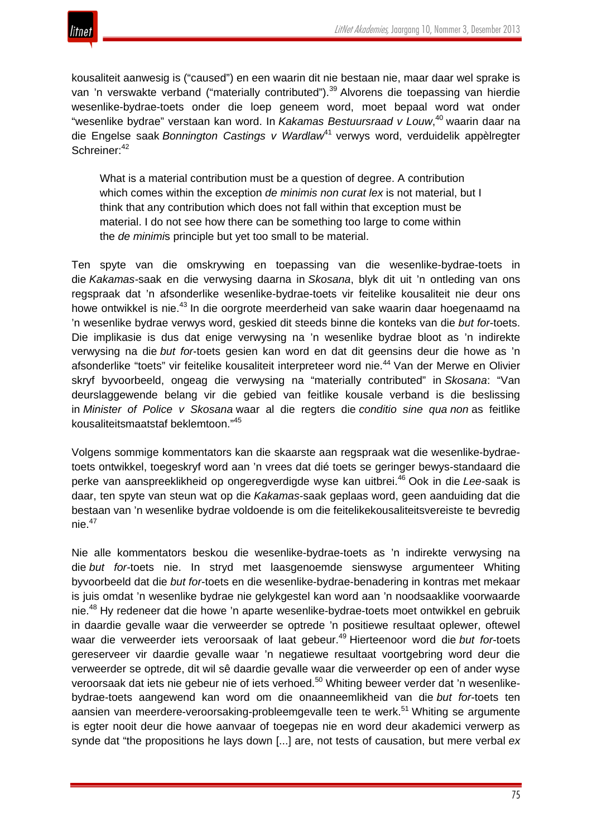

kousaliteit aanwesig is ("caused") en een waarin dit nie bestaan nie, maar daar wel sprake is van 'n verswakte verband ("materially contributed").<sup>39</sup> Alvorens die toepassing van hierdie wesenlike-bydrae-toets onder die loep geneem word, moet bepaal word wat onder "wesenlike bydrae" verstaan kan word. In *Kakamas Bestuursraad v Louw*, <sup>40</sup> waarin daar na die Engelse saak *Bonnington Castings v Wardlaw*<sup>41</sup> verwys word, verduidelik appèlregter Schreiner: 42

What is a material contribution must be a question of degree. A contribution which comes within the exception *de minimis non curat lex* is not material, but I think that any contribution which does not fall within that exception must be material. I do not see how there can be something too large to come within the *de minimi*s principle but yet too small to be material.

Ten spyte van die omskrywing en toepassing van die wesenlike-bydrae-toets in die *Kakamas-*saak en die verwysing daarna in *Skosana*, blyk dit uit 'n ontleding van ons regspraak dat 'n afsonderlike wesenlike-bydrae-toets vir feitelike kousaliteit nie deur ons howe ontwikkel is nie.<sup>43</sup> In die oorgrote meerderheid van sake waarin daar hoegenaamd na 'n wesenlike bydrae verwys word, geskied dit steeds binne die konteks van die *but for*-toets. Die implikasie is dus dat enige verwysing na 'n wesenlike bydrae bloot as 'n indirekte verwysing na die *but for*-toets gesien kan word en dat dit geensins deur die howe as 'n afsonderlike "toets" vir feitelike kousaliteit interpreteer word nie.<sup>44</sup> Van der Merwe en Olivier skryf byvoorbeeld, ongeag die verwysing na "materially contributed" in *Skosana*: "Van deurslaggewende belang vir die gebied van feitlike kousale verband is die beslissing in *Minister of Police v Skosana* waar al die regters die *conditio sine qua non* as feitlike kousaliteitsmaatstaf beklemtoon."<sup>45</sup>

Volgens sommige kommentators kan die skaarste aan regspraak wat die wesenlike-bydraetoets ontwikkel, toegeskryf word aan 'n vrees dat dié toets se geringer bewys-standaard die perke van aanspreeklikheid op ongeregverdigde wyse kan uitbrei.<sup>46</sup> Ook in die *Lee-*saak is daar, ten spyte van steun wat op die *Kakamas*-saak geplaas word, geen aanduiding dat die bestaan van 'n wesenlike bydrae voldoende is om die feitelikekousaliteitsvereiste te bevredig nie.<sup>47</sup>

Nie alle kommentators beskou die wesenlike-bydrae-toets as 'n indirekte verwysing na die *but for-*toets nie. In stryd met laasgenoemde sienswyse argumenteer Whiting byvoorbeeld dat die *but for*-toets en die wesenlike-bydrae-benadering in kontras met mekaar is juis omdat 'n wesenlike bydrae nie gelykgestel kan word aan 'n noodsaaklike voorwaarde nie.<sup>48</sup> Hy redeneer dat die howe 'n aparte wesenlike-bydrae-toets moet ontwikkel en gebruik in daardie gevalle waar die verweerder se optrede 'n positiewe resultaat oplewer, oftewel waar die verweerder iets veroorsaak of laat gebeur.<sup>49</sup> Hierteenoor word die *but for*-toets gereserveer vir daardie gevalle waar 'n negatiewe resultaat voortgebring word deur die verweerder se optrede, dit wil sê daardie gevalle waar die verweerder op een of ander wyse veroorsaak dat iets nie gebeur nie of iets verhoed.<sup>50</sup> Whiting beweer verder dat 'n wesenlikebydrae-toets aangewend kan word om die onaanneemlikheid van die *but for*-toets ten aansien van meerdere-veroorsaking-probleemgevalle teen te werk.<sup>51</sup> Whiting se argumente is egter nooit deur die howe aanvaar of toegepas nie en word deur akademici verwerp as synde dat "the propositions he lays down [...] are, not tests of causation, but mere verbal *ex*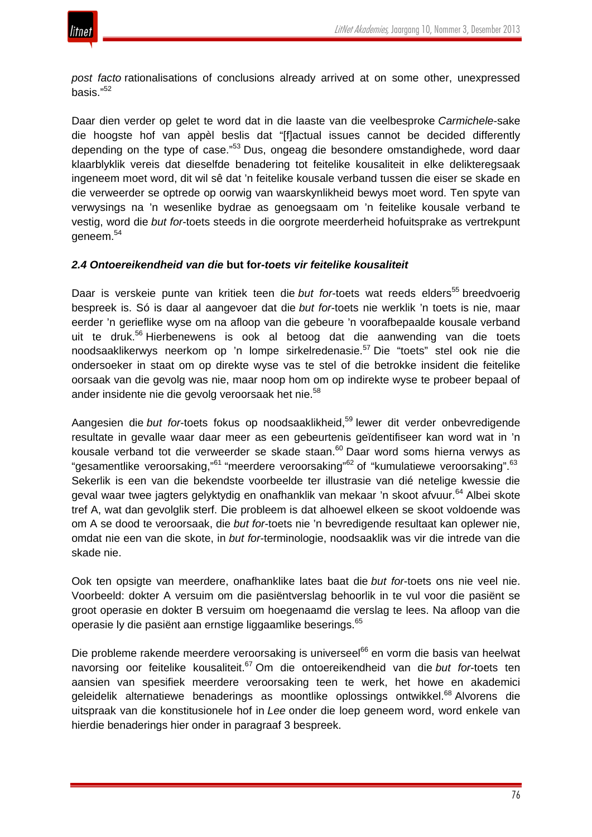

*post facto* rationalisations of conclusions already arrived at on some other, unexpressed basis."<sup>52</sup>

Daar dien verder op gelet te word dat in die laaste van die veelbesproke *Carmichele*-sake die hoogste hof van appèl beslis dat "[f]actual issues cannot be decided differently depending on the type of case."<sup>53</sup> Dus, ongeag die besondere omstandighede, word daar klaarblyklik vereis dat dieselfde benadering tot feitelike kousaliteit in elke delikteregsaak ingeneem moet word, dit wil sê dat 'n feitelike kousale verband tussen die eiser se skade en die verweerder se optrede op oorwig van waarskynlikheid bewys moet word. Ten spyte van verwysings na 'n wesenlike bydrae as genoegsaam om 'n feitelike kousale verband te vestig, word die *but for*-toets steeds in die oorgrote meerderheid hofuitsprake as vertrekpunt geneem.<sup>54</sup>

#### *2.4 Ontoereikendheid van die* **but for-***toets vir feitelike kousaliteit*

Daar is verskeie punte van kritiek teen die *but for*-toets wat reeds elders<sup>55</sup> breedvoerig bespreek is. Só is daar al aangevoer dat die *but for*-toets nie werklik 'n toets is nie, maar eerder 'n gerieflike wyse om na afloop van die gebeure 'n voorafbepaalde kousale verband uit te druk.<sup>56</sup> Hierbenewens is ook al betoog dat die aanwending van die toets noodsaaklikerwys neerkom op 'n lompe sirkelredenasie.<sup>57</sup> Die "toets" stel ook nie die ondersoeker in staat om op direkte wyse vas te stel of die betrokke insident die feitelike oorsaak van die gevolg was nie, maar noop hom om op indirekte wyse te probeer bepaal of ander insidente nie die gevolg veroorsaak het nie.<sup>58</sup>

Aangesien die *but for-toets fokus op noodsaaklikheid*,<sup>59</sup> lewer dit verder onbevredigende resultate in gevalle waar daar meer as een gebeurtenis geïdentifiseer kan word wat in 'n kousale verband tot die verweerder se skade staan.<sup>60</sup> Daar word soms hierna verwys as "gesamentlike veroorsaking,"<sup>61</sup> "meerdere veroorsaking"<sup>62</sup> of "kumulatiewe veroorsaking".<sup>63</sup> Sekerlik is een van die bekendste voorbeelde ter illustrasie van dié netelige kwessie die geval waar twee jagters gelyktydig en onafhanklik van mekaar 'n skoot afvuur.<sup>64</sup> Albei skote tref A, wat dan gevolglik sterf. Die probleem is dat alhoewel elkeen se skoot voldoende was om A se dood te veroorsaak, die *but for*-toets nie 'n bevredigende resultaat kan oplewer nie, omdat nie een van die skote, in *but for*-terminologie, noodsaaklik was vir die intrede van die skade nie.

Ook ten opsigte van meerdere, onafhanklike lates baat die *but for*-toets ons nie veel nie. Voorbeeld: dokter A versuim om die pasiëntverslag behoorlik in te vul voor die pasiënt se groot operasie en dokter B versuim om hoegenaamd die verslag te lees. Na afloop van die operasie ly die pasiënt aan ernstige liggaamlike beserings.<sup>65</sup>

Die probleme rakende meerdere veroorsaking is universeel<sup>66</sup> en vorm die basis van heelwat navorsing oor feitelike kousaliteit.<sup>67</sup> Om die ontoereikendheid van die *but for*-toets ten aansien van spesifiek meerdere veroorsaking teen te werk, het howe en akademici geleidelik alternatiewe benaderings as moontlike oplossings ontwikkel.<sup>68</sup> Alvorens die uitspraak van die konstitusionele hof in *Lee* onder die loep geneem word, word enkele van hierdie benaderings hier onder in paragraaf 3 bespreek.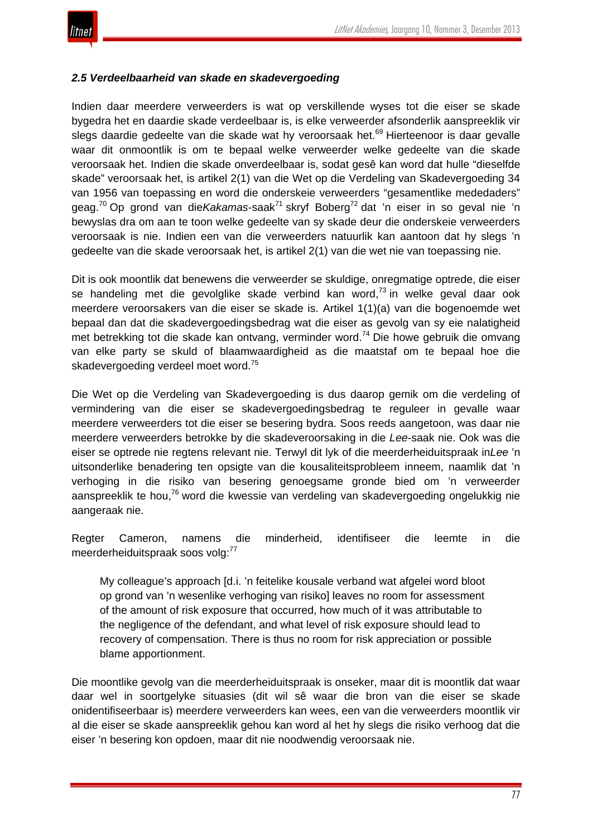

#### *2.5 Verdeelbaarheid van skade en skadevergoeding*

Indien daar meerdere verweerders is wat op verskillende wyses tot die eiser se skade bygedra het en daardie skade verdeelbaar is, is elke verweerder afsonderlik aanspreeklik vir slegs daardie gedeelte van die skade wat hy veroorsaak het.<sup>69</sup> Hierteenoor is daar gevalle waar dit onmoontlik is om te bepaal welke verweerder welke gedeelte van die skade veroorsaak het. Indien die skade onverdeelbaar is, sodat gesê kan word dat hulle "dieselfde skade" veroorsaak het, is artikel 2(1) van die Wet op die Verdeling van Skadevergoeding 34 van 1956 van toepassing en word die onderskeie verweerders "gesamentlike mededaders" geag.<sup>70</sup> Op grond van die*Kakamas*-saak<sup>71</sup> skryf Boberg<sup>72</sup> dat 'n eiser in so geval nie 'n bewyslas dra om aan te toon welke gedeelte van sy skade deur die onderskeie verweerders veroorsaak is nie. Indien een van die verweerders natuurlik kan aantoon dat hy slegs 'n gedeelte van die skade veroorsaak het, is artikel 2(1) van die wet nie van toepassing nie.

Dit is ook moontlik dat benewens die verweerder se skuldige, onregmatige optrede, die eiser se handeling met die gevolglike skade verbind kan word, $73$  in welke geval daar ook meerdere veroorsakers van die eiser se skade is. Artikel 1(1)(a) van die bogenoemde wet bepaal dan dat die skadevergoedingsbedrag wat die eiser as gevolg van sy eie nalatigheid met betrekking tot die skade kan ontvang, verminder word.<sup>74</sup> Die howe gebruik die omvang van elke party se skuld of blaamwaardigheid as die maatstaf om te bepaal hoe die skadevergoeding verdeel moet word.<sup>75</sup>

Die Wet op die Verdeling van Skadevergoeding is dus daarop gemik om die verdeling of vermindering van die eiser se skadevergoedingsbedrag te reguleer in gevalle waar meerdere verweerders tot die eiser se besering bydra. Soos reeds aangetoon, was daar nie meerdere verweerders betrokke by die skadeveroorsaking in die *Lee*-saak nie. Ook was die eiser se optrede nie regtens relevant nie. Terwyl dit lyk of die meerderheiduitspraak in*Lee* 'n uitsonderlike benadering ten opsigte van die kousaliteitsprobleem inneem, naamlik dat 'n verhoging in die risiko van besering genoegsame gronde bied om 'n verweerder aanspreeklik te hou,<sup>76</sup> word die kwessie van verdeling van skadevergoeding ongelukkig nie aangeraak nie.

Regter Cameron, namens die minderheid, identifiseer die leemte in die meerderheiduitspraak soos volg:<sup>77</sup>

My colleague's approach [d.i. 'n feitelike kousale verband wat afgelei word bloot op grond van 'n wesenlike verhoging van risiko] leaves no room for assessment of the amount of risk exposure that occurred, how much of it was attributable to the negligence of the defendant, and what level of risk exposure should lead to recovery of compensation. There is thus no room for risk appreciation or possible blame apportionment.

Die moontlike gevolg van die meerderheiduitspraak is onseker, maar dit is moontlik dat waar daar wel in soortgelyke situasies (dit wil sê waar die bron van die eiser se skade onidentifiseerbaar is) meerdere verweerders kan wees, een van die verweerders moontlik vir al die eiser se skade aanspreeklik gehou kan word al het hy slegs die risiko verhoog dat die eiser 'n besering kon opdoen, maar dit nie noodwendig veroorsaak nie.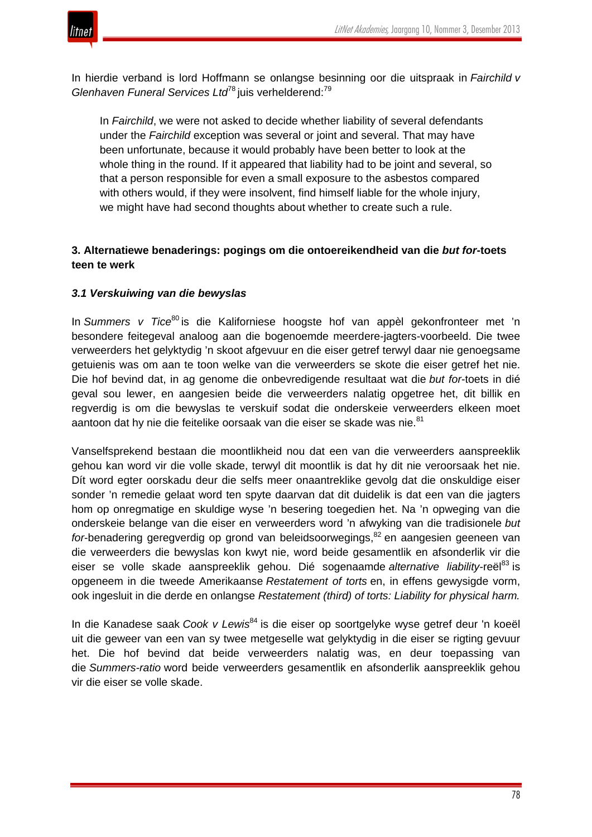

In hierdie verband is lord Hoffmann se onlangse besinning oor die uitspraak in *Fairchild v Glenhaven Funeral Services Ltd*<sup>78</sup> juis verhelderend:<sup>79</sup>

In *Fairchild*, we were not asked to decide whether liability of several defendants under the *Fairchild* exception was several or joint and several. That may have been unfortunate, because it would probably have been better to look at the whole thing in the round. If it appeared that liability had to be joint and several, so that a person responsible for even a small exposure to the asbestos compared with others would, if they were insolvent, find himself liable for the whole injury, we might have had second thoughts about whether to create such a rule.

# **3. Alternatiewe benaderings: pogings om die ontoereikendheid van die** *but for***-toets teen te werk**

## *3.1 Verskuiwing van die bewyslas*

In *Summers v Tice*<sup>80</sup> is die Kaliforniese hoogste hof van appèl gekonfronteer met 'n besondere feitegeval analoog aan die bogenoemde meerdere-jagters-voorbeeld. Die twee verweerders het gelyktydig 'n skoot afgevuur en die eiser getref terwyl daar nie genoegsame getuienis was om aan te toon welke van die verweerders se skote die eiser getref het nie. Die hof bevind dat, in ag genome die onbevredigende resultaat wat die *but for*-toets in dié geval sou lewer, en aangesien beide die verweerders nalatig opgetree het, dit billik en regverdig is om die bewyslas te verskuif sodat die onderskeie verweerders elkeen moet aantoon dat hy nie die feitelike oorsaak van die eiser se skade was nie.<sup>81</sup>

Vanselfsprekend bestaan die moontlikheid nou dat een van die verweerders aanspreeklik gehou kan word vir die volle skade, terwyl dit moontlik is dat hy dit nie veroorsaak het nie. Dít word egter oorskadu deur die selfs meer onaantreklike gevolg dat die onskuldige eiser sonder 'n remedie gelaat word ten spyte daarvan dat dit duidelik is dat een van die jagters hom op onregmatige en skuldige wyse 'n besering toegedien het. Na 'n opweging van die onderskeie belange van die eiser en verweerders word 'n afwyking van die tradisionele *but for*-benadering geregverdig op grond van beleidsoorwegings, <sup>82</sup> en aangesien geeneen van die verweerders die bewyslas kon kwyt nie, word beide gesamentlik en afsonderlik vir die eiser se volle skade aanspreeklik gehou. Dié sogenaamde alternative liability-reël<sup>83</sup> is opgeneem in die tweede Amerikaanse *Restatement of torts* en, in effens gewysigde vorm, ook ingesluit in die derde en onlangse *Restatement (third) of torts: Liability for physical harm.*

In die Kanadese saak *Cook v Lewis*<sup>84</sup> is die eiser op soortgelyke wyse getref deur 'n koeël uit die geweer van een van sy twee metgeselle wat gelyktydig in die eiser se rigting gevuur het. Die hof bevind dat beide verweerders nalatig was, en deur toepassing van die *Summers-ratio* word beide verweerders gesamentlik en afsonderlik aanspreeklik gehou vir die eiser se volle skade.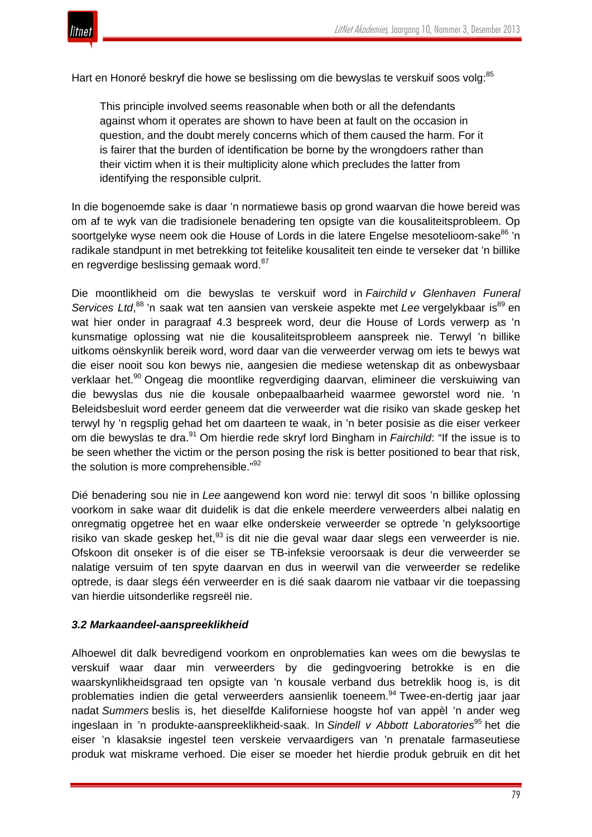

Hart en Honoré beskryf die howe se beslissing om die bewyslas te verskuif soos volg:<sup>85</sup>

This principle involved seems reasonable when both or all the defendants against whom it operates are shown to have been at fault on the occasion in question, and the doubt merely concerns which of them caused the harm. For it is fairer that the burden of identification be borne by the wrongdoers rather than their victim when it is their multiplicity alone which precludes the latter from identifying the responsible culprit.

In die bogenoemde sake is daar 'n normatiewe basis op grond waarvan die howe bereid was om af te wyk van die tradisionele benadering ten opsigte van die kousaliteitsprobleem. Op soortgelyke wyse neem ook die House of Lords in die latere Engelse mesotelioom-sake<sup>86</sup> 'n radikale standpunt in met betrekking tot feitelike kousaliteit ten einde te verseker dat 'n billike en regverdige beslissing gemaak word.<sup>87</sup>

Die moontlikheid om die bewyslas te verskuif word in *Fairchild v Glenhaven Funeral* Services Ltd,<sup>88</sup> 'n saak wat ten aansien van verskeie aspekte met Lee vergelykbaar is<sup>89</sup> en wat hier onder in paragraaf 4.3 bespreek word, deur die House of Lords verwerp as 'n kunsmatige oplossing wat nie die kousaliteitsprobleem aanspreek nie. Terwyl 'n billike uitkoms oënskynlik bereik word, word daar van die verweerder verwag om iets te bewys wat die eiser nooit sou kon bewys nie, aangesien die mediese wetenskap dit as onbewysbaar verklaar het.<sup>90</sup> Ongeag die moontlike regverdiging daarvan, elimineer die verskuiwing van die bewyslas dus nie die kousale onbepaalbaarheid waarmee geworstel word nie. 'n Beleidsbesluit word eerder geneem dat die verweerder wat die risiko van skade geskep het terwyl hy 'n regsplig gehad het om daarteen te waak, in 'n beter posisie as die eiser verkeer om die bewyslas te dra.<sup>91</sup> Om hierdie rede skryf lord Bingham in *Fairchild*: "If the issue is to be seen whether the victim or the person posing the risk is better positioned to bear that risk, the solution is more comprehensible."<sup>92</sup>

Dié benadering sou nie in *Lee* aangewend kon word nie: terwyl dit soos 'n billike oplossing voorkom in sake waar dit duidelik is dat die enkele meerdere verweerders albei nalatig en onregmatig opgetree het en waar elke onderskeie verweerder se optrede 'n gelyksoortige risiko van skade geskep het,<sup>93</sup> is dit nie die geval waar daar slegs een verweerder is nie. Ofskoon dit onseker is of die eiser se TB-infeksie veroorsaak is deur die verweerder se nalatige versuim of ten spyte daarvan en dus in weerwil van die verweerder se redelike optrede, is daar slegs één verweerder en is dié saak daarom nie vatbaar vir die toepassing van hierdie uitsonderlike regsreël nie.

#### *3.2 Markaandeel-aanspreeklikheid*

Alhoewel dit dalk bevredigend voorkom en onproblematies kan wees om die bewyslas te verskuif waar daar min verweerders by die gedingvoering betrokke is en die waarskynlikheidsgraad ten opsigte van 'n kousale verband dus betreklik hoog is, is dit problematies indien die getal verweerders aansienlik toeneem.<sup>94</sup> Twee-en-dertig jaar jaar nadat *Summers* beslis is, het dieselfde Kaliforniese hoogste hof van appèl 'n ander weg ingeslaan in 'n produkte-aanspreeklikheid-saak. In *Sindell v Abbott Laboratories*<sup>95</sup> het die eiser 'n klasaksie ingestel teen verskeie vervaardigers van 'n prenatale farmaseutiese produk wat miskrame verhoed. Die eiser se moeder het hierdie produk gebruik en dit het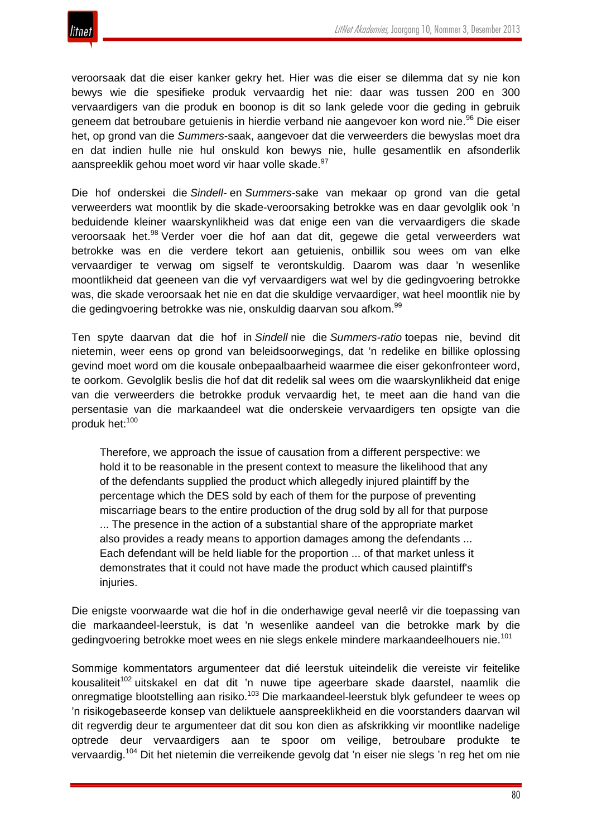veroorsaak dat die eiser kanker gekry het. Hier was die eiser se dilemma dat sy nie kon bewys wie die spesifieke produk vervaardig het nie: daar was tussen 200 en 300 vervaardigers van die produk en boonop is dit so lank gelede voor die geding in gebruik geneem dat betroubare getuienis in hierdie verband nie aangevoer kon word nie.<sup>96</sup> Die eiser het, op grond van die *Summers*-saak, aangevoer dat die verweerders die bewyslas moet dra en dat indien hulle nie hul onskuld kon bewys nie, hulle gesamentlik en afsonderlik aanspreeklik gehou moet word vir haar volle skade.<sup>97</sup>

Die hof onderskei die *Sindell-* en *Summers-*sake van mekaar op grond van die getal verweerders wat moontlik by die skade-veroorsaking betrokke was en daar gevolglik ook 'n beduidende kleiner waarskynlikheid was dat enige een van die vervaardigers die skade veroorsaak het.<sup>98</sup> Verder voer die hof aan dat dit, gegewe die getal verweerders wat betrokke was en die verdere tekort aan getuienis, onbillik sou wees om van elke vervaardiger te verwag om sigself te verontskuldig. Daarom was daar 'n wesenlike moontlikheid dat geeneen van die vyf vervaardigers wat wel by die gedingvoering betrokke was, die skade veroorsaak het nie en dat die skuldige vervaardiger, wat heel moontlik nie by die gedingvoering betrokke was nie, onskuldig daarvan sou afkom.<sup>99</sup>

Ten spyte daarvan dat die hof in *Sindell* nie die *Summers-ratio* toepas nie, bevind dit nietemin, weer eens op grond van beleidsoorwegings, dat 'n redelike en billike oplossing gevind moet word om die kousale onbepaalbaarheid waarmee die eiser gekonfronteer word, te oorkom. Gevolglik beslis die hof dat dit redelik sal wees om die waarskynlikheid dat enige van die verweerders die betrokke produk vervaardig het, te meet aan die hand van die persentasie van die markaandeel wat die onderskeie vervaardigers ten opsigte van die produk het:<sup>100</sup>

Therefore, we approach the issue of causation from a different perspective: we hold it to be reasonable in the present context to measure the likelihood that any of the defendants supplied the product which allegedly injured plaintiff by the percentage which the DES sold by each of them for the purpose of preventing miscarriage bears to the entire production of the drug sold by all for that purpose ... The presence in the action of a substantial share of the appropriate market also provides a ready means to apportion damages among the defendants ... Each defendant will be held liable for the proportion ... of that market unless it demonstrates that it could not have made the product which caused plaintiff's injuries.

Die enigste voorwaarde wat die hof in die onderhawige geval neerlê vir die toepassing van die markaandeel-leerstuk, is dat 'n wesenlike aandeel van die betrokke mark by die gedingvoering betrokke moet wees en nie slegs enkele mindere markaandeelhouers nie.<sup>101</sup>

Sommige kommentators argumenteer dat dié leerstuk uiteindelik die vereiste vir feitelike kousaliteit<sup>102</sup> uitskakel en dat dit 'n nuwe tipe ageerbare skade daarstel, naamlik die onregmatige blootstelling aan risiko.<sup>103</sup> Die markaandeel-leerstuk blyk gefundeer te wees op 'n risikogebaseerde konsep van deliktuele aanspreeklikheid en die voorstanders daarvan wil dit regverdig deur te argumenteer dat dit sou kon dien as afskrikking vir moontlike nadelige optrede deur vervaardigers aan te spoor om veilige, betroubare produkte te vervaardig.<sup>104</sup> Dit het nietemin die verreikende gevolg dat 'n eiser nie slegs 'n reg het om nie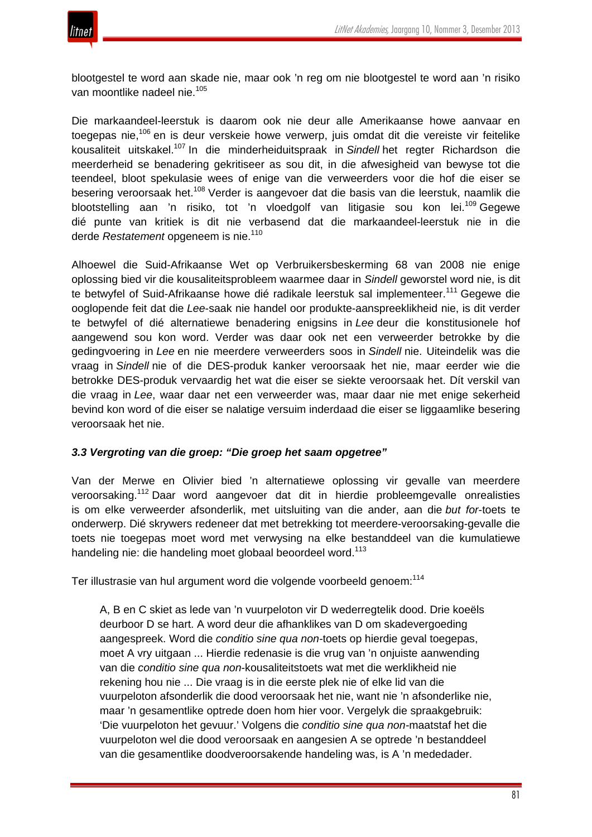

blootgestel te word aan skade nie, maar ook 'n reg om nie blootgestel te word aan 'n risiko van moontlike nadeel nie.<sup>105</sup>

Die markaandeel-leerstuk is daarom ook nie deur alle Amerikaanse howe aanvaar en toegepas nie,<sup>106</sup> en is deur verskeie howe verwerp, juis omdat dit die vereiste vir feitelike kousaliteit uitskakel.<sup>107</sup> In die minderheiduitspraak in *Sindell* het regter Richardson die meerderheid se benadering gekritiseer as sou dit, in die afwesigheid van bewyse tot die teendeel, bloot spekulasie wees of enige van die verweerders voor die hof die eiser se besering veroorsaak het.108 Verder is aangevoer dat die basis van die leerstuk, naamlik die blootstelling aan 'n risiko, tot 'n vloedgolf van litigasie sou kon lei.<sup>109</sup> Gegewe dié punte van kritiek is dit nie verbasend dat die markaandeel-leerstuk nie in die derde *Restatement* opgeneem is nie.<sup>110</sup>

Alhoewel die Suid-Afrikaanse Wet op Verbruikersbeskerming 68 van 2008 nie enige oplossing bied vir die kousaliteitsprobleem waarmee daar in *Sindell* geworstel word nie, is dit te betwyfel of Suid-Afrikaanse howe dié radikale leerstuk sal implementeer.<sup>111</sup> Gegewe die ooglopende feit dat die *Lee*-saak nie handel oor produkte-aanspreeklikheid nie, is dit verder te betwyfel of dié alternatiewe benadering enigsins in *Lee* deur die konstitusionele hof aangewend sou kon word. Verder was daar ook net een verweerder betrokke by die gedingvoering in *Lee* en nie meerdere verweerders soos in *Sindell* nie. Uiteindelik was die vraag in *Sindell* nie of die DES-produk kanker veroorsaak het nie, maar eerder wie die betrokke DES-produk vervaardig het wat die eiser se siekte veroorsaak het. Dít verskil van die vraag in *Lee*, waar daar net een verweerder was, maar daar nie met enige sekerheid bevind kon word of die eiser se nalatige versuim inderdaad die eiser se liggaamlike besering veroorsaak het nie.

#### *3.3 Vergroting van die groep: "Die groep het saam opgetree"*

Van der Merwe en Olivier bied 'n alternatiewe oplossing vir gevalle van meerdere veroorsaking.<sup>112</sup> Daar word aangevoer dat dit in hierdie probleemgevalle onrealisties is om elke verweerder afsonderlik, met uitsluiting van die ander, aan die *but for*-toets te onderwerp. Dié skrywers redeneer dat met betrekking tot meerdere-veroorsaking-gevalle die toets nie toegepas moet word met verwysing na elke bestanddeel van die kumulatiewe handeling nie: die handeling moet globaal beoordeel word.<sup>113</sup>

Ter illustrasie van hul argument word die volgende voorbeeld genoem:<sup>114</sup>

A, B en C skiet as lede van 'n vuurpeloton vir D wederregtelik dood. Drie koeëls deurboor D se hart. A word deur die afhanklikes van D om skadevergoeding aangespreek. Word die *conditio sine qua non-*toets op hierdie geval toegepas, moet A vry uitgaan ... Hierdie redenasie is die vrug van 'n onjuiste aanwending van die *conditio sine qua non*-kousaliteitstoets wat met die werklikheid nie rekening hou nie ... Die vraag is in die eerste plek nie of elke lid van die vuurpeloton afsonderlik die dood veroorsaak het nie, want nie 'n afsonderlike nie, maar 'n gesamentlike optrede doen hom hier voor. Vergelyk die spraakgebruik: 'Die vuurpeloton het gevuur.' Volgens die *conditio sine qua non-*maatstaf het die vuurpeloton wel die dood veroorsaak en aangesien A se optrede 'n bestanddeel van die gesamentlike doodveroorsakende handeling was, is A 'n mededader.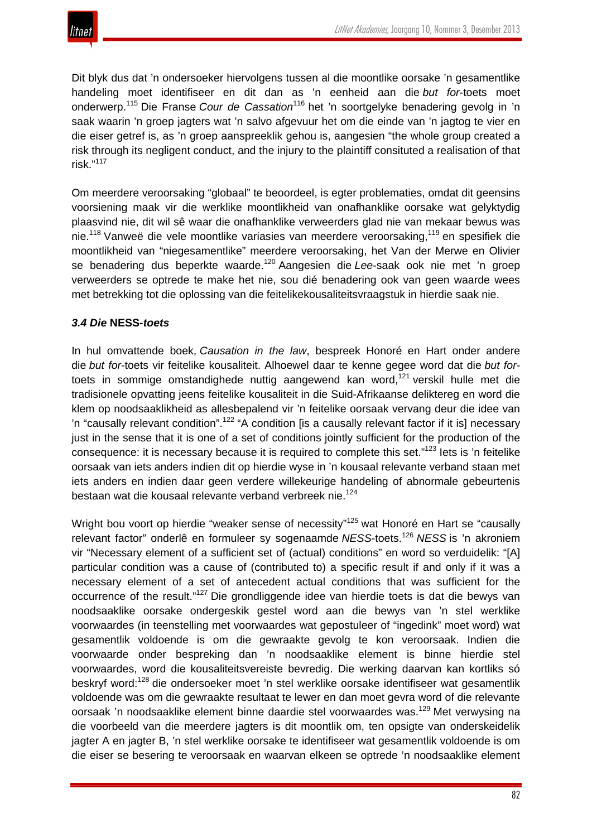

Dit blyk dus dat 'n ondersoeker hiervolgens tussen al die moontlike oorsake 'n gesamentlike handeling moet identifiseer en dit dan as 'n eenheid aan die *but for*-toets moet onderwerp.<sup>115</sup> Die Franse *Cour de Cassation*<sup>116</sup> het 'n soortgelyke benadering gevolg in 'n saak waarin 'n groep jagters wat 'n salvo afgevuur het om die einde van 'n jagtog te vier en die eiser getref is, as 'n groep aanspreeklik gehou is, aangesien "the whole group created a risk through its negligent conduct, and the injury to the plaintiff consituted a realisation of that risk."117

Om meerdere veroorsaking "globaal" te beoordeel, is egter problematies, omdat dit geensins voorsiening maak vir die werklike moontlikheid van onafhanklike oorsake wat gelyktydig plaasvind nie, dit wil sê waar die onafhanklike verweerders glad nie van mekaar bewus was nie.<sup>118</sup> Vanweë die vele moontlike variasies van meerdere veroorsaking.<sup>119</sup> en spesifiek die moontlikheid van "niegesamentlike" meerdere veroorsaking, het Van der Merwe en Olivier se benadering dus beperkte waarde.<sup>120</sup> Aangesien die *Lee*-saak ook nie met 'n groep verweerders se optrede te make het nie, sou dié benadering ook van geen waarde wees met betrekking tot die oplossing van die feitelikekousaliteitsvraagstuk in hierdie saak nie.

#### *3.4 Die* **NESS***-toets*

In hul omvattende boek, *Causation in the law*, bespreek Honoré en Hart onder andere die *but for*-toets vir feitelike kousaliteit. Alhoewel daar te kenne gegee word dat die *but for*toets in sommige omstandighede nuttig aangewend kan word,<sup>121</sup> verskil hulle met die tradisionele opvatting jeens feitelike kousaliteit in die Suid-Afrikaanse deliktereg en word die klem op noodsaaklikheid as allesbepalend vir 'n feitelike oorsaak vervang deur die idee van 'n "causally relevant condition".<sup>122</sup> "A condition [is a causally relevant factor if it is] necessary just in the sense that it is one of a set of conditions jointly sufficient for the production of the consequence: it is necessary because it is required to complete this set."<sup>123</sup> Iets is 'n feitelike oorsaak van iets anders indien dit op hierdie wyse in 'n kousaal relevante verband staan met iets anders en indien daar geen verdere willekeurige handeling of abnormale gebeurtenis bestaan wat die kousaal relevante verband verbreek nie.<sup>124</sup>

Wright bou voort op hierdie "weaker sense of necessity"<sup>125</sup> wat Honoré en Hart se "causally relevant factor" onderlê en formuleer sy sogenaamde *NESS*-toets.<sup>126</sup> *NESS* is 'n akroniem vir "Necessary element of a sufficient set of (actual) conditions" en word so verduidelik: "[A] particular condition was a cause of (contributed to) a specific result if and only if it was a necessary element of a set of antecedent actual conditions that was sufficient for the occurrence of the result."<sup>127</sup> Die grondliggende idee van hierdie toets is dat die bewys van noodsaaklike oorsake ondergeskik gestel word aan die bewys van 'n stel werklike voorwaardes (in teenstelling met voorwaardes wat gepostuleer of "ingedink" moet word) wat gesamentlik voldoende is om die gewraakte gevolg te kon veroorsaak. Indien die voorwaarde onder bespreking dan 'n noodsaaklike element is binne hierdie stel voorwaardes, word die kousaliteitsvereiste bevredig. Die werking daarvan kan kortliks só beskryf word:<sup>128</sup> die ondersoeker moet 'n stel werklike oorsake identifiseer wat gesamentlik voldoende was om die gewraakte resultaat te lewer en dan moet gevra word of die relevante oorsaak 'n noodsaaklike element binne daardie stel voorwaardes was.<sup>129</sup> Met verwysing na die voorbeeld van die meerdere jagters is dit moontlik om, ten opsigte van onderskeidelik jagter A en jagter B, 'n stel werklike oorsake te identifiseer wat gesamentlik voldoende is om die eiser se besering te veroorsaak en waarvan elkeen se optrede 'n noodsaaklike element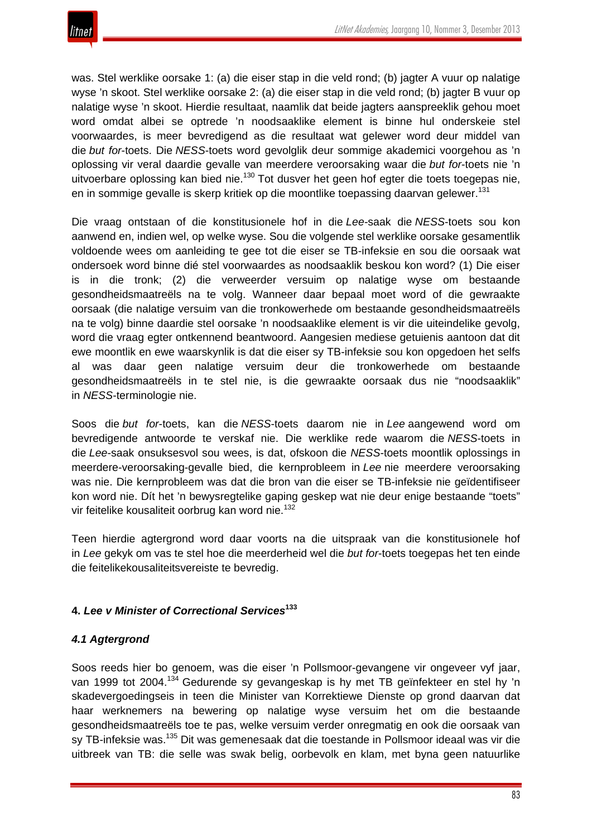was. Stel werklike oorsake 1: (a) die eiser stap in die veld rond; (b) jagter A vuur op nalatige wyse 'n skoot. Stel werklike oorsake 2: (a) die eiser stap in die veld rond; (b) jagter B vuur op nalatige wyse 'n skoot. Hierdie resultaat, naamlik dat beide jagters aanspreeklik gehou moet word omdat albei se optrede 'n noodsaaklike element is binne hul onderskeie stel voorwaardes, is meer bevredigend as die resultaat wat gelewer word deur middel van die *but for*-toets. Die *NESS*-toets word gevolglik deur sommige akademici voorgehou as 'n oplossing vir veral daardie gevalle van meerdere veroorsaking waar die *but for*-toets nie 'n uitvoerbare oplossing kan bied nie.<sup>130</sup> Tot dusver het geen hof egter die toets toegepas nie, en in sommige gevalle is skerp kritiek op die moontlike toepassing daarvan gelewer.<sup>131</sup>

Die vraag ontstaan of die konstitusionele hof in die *Lee-*saak die *NESS*-toets sou kon aanwend en, indien wel, op welke wyse. Sou die volgende stel werklike oorsake gesamentlik voldoende wees om aanleiding te gee tot die eiser se TB-infeksie en sou die oorsaak wat ondersoek word binne dié stel voorwaardes as noodsaaklik beskou kon word? (1) Die eiser is in die tronk; (2) die verweerder versuim op nalatige wyse om bestaande gesondheidsmaatreëls na te volg. Wanneer daar bepaal moet word of die gewraakte oorsaak (die nalatige versuim van die tronkowerhede om bestaande gesondheidsmaatreëls na te volg) binne daardie stel oorsake 'n noodsaaklike element is vir die uiteindelike gevolg, word die vraag egter ontkennend beantwoord. Aangesien mediese getuienis aantoon dat dit ewe moontlik en ewe waarskynlik is dat die eiser sy TB-infeksie sou kon opgedoen het selfs al was daar geen nalatige versuim deur die tronkowerhede om bestaande gesondheidsmaatreëls in te stel nie, is die gewraakte oorsaak dus nie "noodsaaklik" in *NESS*-terminologie nie.

Soos die *but for*-toets, kan die *NESS*-toets daarom nie in *Lee* aangewend word om bevredigende antwoorde te verskaf nie. Die werklike rede waarom die *NESS*-toets in die *Lee*-saak onsuksesvol sou wees, is dat, ofskoon die *NESS*-toets moontlik oplossings in meerdere-veroorsaking-gevalle bied, die kernprobleem in *Lee* nie meerdere veroorsaking was nie. Die kernprobleem was dat die bron van die eiser se TB-infeksie nie geïdentifiseer kon word nie. Dít het 'n bewysregtelike gaping geskep wat nie deur enige bestaande "toets" vir feitelike kousaliteit oorbrug kan word nie.<sup>132</sup>

Teen hierdie agtergrond word daar voorts na die uitspraak van die konstitusionele hof in *Lee* gekyk om vas te stel hoe die meerderheid wel die *but for*-toets toegepas het ten einde die feitelikekousaliteitsvereiste te bevredig.

# **4.** *Lee v Minister of Correctional Services***<sup>133</sup>**

# *4.1 Agtergrond*

Soos reeds hier bo genoem, was die eiser 'n Pollsmoor-gevangene vir ongeveer vyf jaar, van 1999 tot 2004.<sup>134</sup> Gedurende sy gevangeskap is hy met TB geïnfekteer en stel hy 'n skadevergoedingseis in teen die Minister van Korrektiewe Dienste op grond daarvan dat haar werknemers na bewering op nalatige wyse versuim het om die bestaande gesondheidsmaatreëls toe te pas, welke versuim verder onregmatig en ook die oorsaak van sy TB-infeksie was.<sup>135</sup> Dit was gemenesaak dat die toestande in Pollsmoor ideaal was vir die uitbreek van TB: die selle was swak belig, oorbevolk en klam, met byna geen natuurlike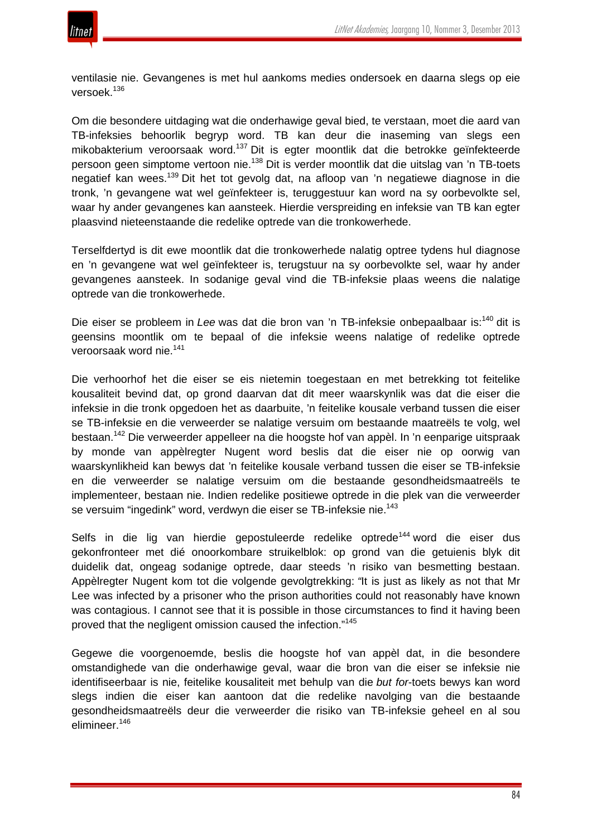

ventilasie nie. Gevangenes is met hul aankoms medies ondersoek en daarna slegs op eie versoek.<sup>136</sup>

Om die besondere uitdaging wat die onderhawige geval bied, te verstaan, moet die aard van TB-infeksies behoorlik begryp word. TB kan deur die inaseming van slegs een mikobakterium veroorsaak word.<sup>137</sup> Dit is egter moontlik dat die betrokke geïnfekteerde persoon geen simptome vertoon nie.<sup>138</sup> Dit is verder moontlik dat die uitslag van 'n TB-toets negatief kan wees.<sup>139</sup> Dit het tot gevolg dat, na afloop van 'n negatiewe diagnose in die tronk, 'n gevangene wat wel geïnfekteer is, teruggestuur kan word na sy oorbevolkte sel, waar hy ander gevangenes kan aansteek. Hierdie verspreiding en infeksie van TB kan egter plaasvind nieteenstaande die redelike optrede van die tronkowerhede.

Terselfdertyd is dit ewe moontlik dat die tronkowerhede nalatig optree tydens hul diagnose en 'n gevangene wat wel geïnfekteer is, terugstuur na sy oorbevolkte sel, waar hy ander gevangenes aansteek. In sodanige geval vind die TB-infeksie plaas weens die nalatige optrede van die tronkowerhede.

Die eiser se probleem in *Lee* was dat die bron van 'n TB-infeksie onbepaalbaar is:140 dit is geensins moontlik om te bepaal of die infeksie weens nalatige of redelike optrede veroorsaak word nie.<sup>141</sup>

Die verhoorhof het die eiser se eis nietemin toegestaan en met betrekking tot feitelike kousaliteit bevind dat, op grond daarvan dat dit meer waarskynlik was dat die eiser die infeksie in die tronk opgedoen het as daarbuite, 'n feitelike kousale verband tussen die eiser se TB-infeksie en die verweerder se nalatige versuim om bestaande maatreëls te volg, wel bestaan.<sup>142</sup> Die verweerder appelleer na die hoogste hof van appèl. In 'n eenparige uitspraak by monde van appèlregter Nugent word beslis dat die eiser nie op oorwig van waarskynlikheid kan bewys dat 'n feitelike kousale verband tussen die eiser se TB-infeksie en die verweerder se nalatige versuim om die bestaande gesondheidsmaatreëls te implementeer, bestaan nie. Indien redelike positiewe optrede in die plek van die verweerder se versuim "ingedink" word, verdwyn die eiser se TB-infeksie nie.<sup>143</sup>

Selfs in die lig van hierdie gepostuleerde redelike optrede<sup>144</sup> word die eiser dus gekonfronteer met dié onoorkombare struikelblok: op grond van die getuienis blyk dit duidelik dat, ongeag sodanige optrede, daar steeds 'n risiko van besmetting bestaan. Appèlregter Nugent kom tot die volgende gevolgtrekking: *"*It is just as likely as not that Mr Lee was infected by a prisoner who the prison authorities could not reasonably have known was contagious. I cannot see that it is possible in those circumstances to find it having been proved that the negligent omission caused the infection."<sup>145</sup>

Gegewe die voorgenoemde, beslis die hoogste hof van appèl dat, in die besondere omstandighede van die onderhawige geval, waar die bron van die eiser se infeksie nie identifiseerbaar is nie, feitelike kousaliteit met behulp van die *but for*-toets bewys kan word slegs indien die eiser kan aantoon dat die redelike navolging van die bestaande gesondheidsmaatreëls deur die verweerder die risiko van TB-infeksie geheel en al sou elimineer.<sup>146</sup>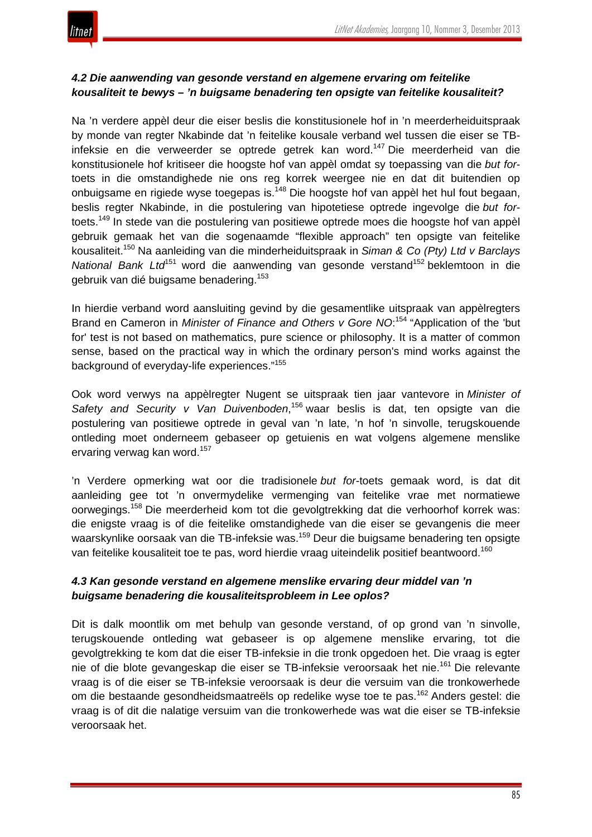

# *4.2 Die aanwending van gesonde verstand en algemene ervaring om feitelike kousaliteit te bewys – 'n buigsame benadering ten opsigte van feitelike kousaliteit?*

Na 'n verdere appèl deur die eiser beslis die konstitusionele hof in 'n meerderheiduitspraak by monde van regter Nkabinde dat 'n feitelike kousale verband wel tussen die eiser se TBinfeksie en die verweerder se optrede getrek kan word.<sup>147</sup> Die meerderheid van die konstitusionele hof kritiseer die hoogste hof van appèl omdat sy toepassing van die *but for*toets in die omstandighede nie ons reg korrek weergee nie en dat dit buitendien op onbuigsame en rigiede wyse toegepas is.<sup>148</sup> Die hoogste hof van appèl het hul fout begaan, beslis regter Nkabinde, in die postulering van hipotetiese optrede ingevolge die *but for*toets.<sup>149</sup> In stede van die postulering van positiewe optrede moes die hoogste hof van appèl gebruik gemaak het van die sogenaamde "flexible approach" ten opsigte van feitelike kousaliteit.<sup>150</sup> Na aanleiding van die minderheiduitspraak in *Siman & Co (Pty) Ltd v Barclays National Bank Ltd*<sup>151</sup> word die aanwending van gesonde verstand<sup>152</sup> beklemtoon in die gebruik van dié buigsame benadering.<sup>153</sup>

In hierdie verband word aansluiting gevind by die gesamentlike uitspraak van appèlregters Brand en Cameron in *Minister of Finance and Others v Gore NO*: <sup>154</sup> "Application of the 'but for' test is not based on mathematics, pure science or philosophy. It is a matter of common sense, based on the practical way in which the ordinary person's mind works against the background of everyday-life experiences."<sup>155</sup>

Ook word verwys na appèlregter Nugent se uitspraak tien jaar vantevore in *Minister of Safety and Security v Van Duivenboden*, <sup>156</sup> waar beslis is dat, ten opsigte van die postulering van positiewe optrede in geval van 'n late, 'n hof 'n sinvolle, terugskouende ontleding moet onderneem gebaseer op getuienis en wat volgens algemene menslike ervaring verwag kan word.<sup>157</sup>

'n Verdere opmerking wat oor die tradisionele *but for*-toets gemaak word, is dat dit aanleiding gee tot 'n onvermydelike vermenging van feitelike vrae met normatiewe oorwegings.<sup>158</sup> Die meerderheid kom tot die gevolgtrekking dat die verhoorhof korrek was: die enigste vraag is of die feitelike omstandighede van die eiser se gevangenis die meer waarskynlike oorsaak van die TB-infeksie was.<sup>159</sup> Deur die buigsame benadering ten opsigte van feitelike kousaliteit toe te pas, word hierdie vraag uiteindelik positief beantwoord.<sup>160</sup>

# *4.3 Kan gesonde verstand en algemene menslike ervaring deur middel van 'n buigsame benadering die kousaliteitsprobleem in Lee oplos?*

Dit is dalk moontlik om met behulp van gesonde verstand, of op grond van 'n sinvolle, terugskouende ontleding wat gebaseer is op algemene menslike ervaring, tot die gevolgtrekking te kom dat die eiser TB-infeksie in die tronk opgedoen het. Die vraag is egter nie of die blote gevangeskap die eiser se TB-infeksie veroorsaak het nie.<sup>161</sup> Die relevante vraag is of die eiser se TB-infeksie veroorsaak is deur die versuim van die tronkowerhede om die bestaande gesondheidsmaatreëls op redelike wyse toe te pas.<sup>162</sup> Anders gestel: die vraag is of dit die nalatige versuim van die tronkowerhede was wat die eiser se TB-infeksie veroorsaak het.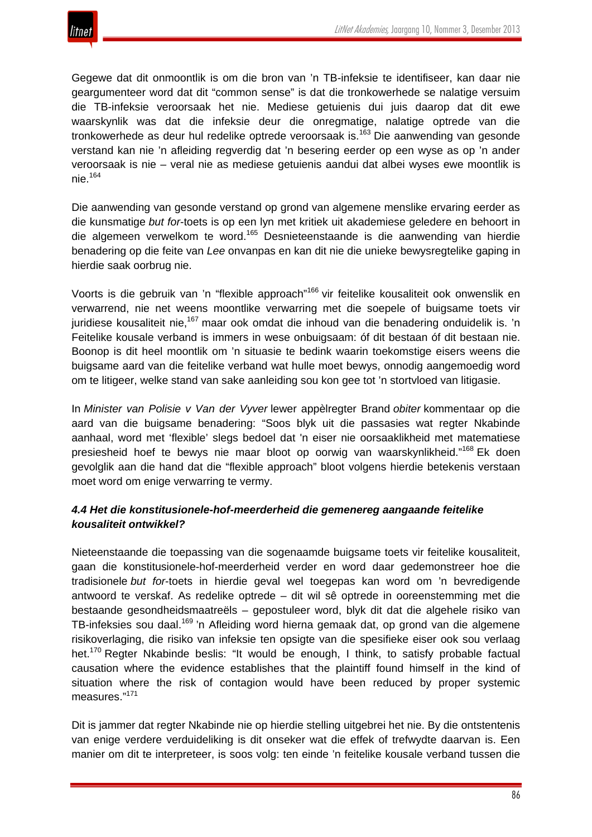

Gegewe dat dit onmoontlik is om die bron van 'n TB-infeksie te identifiseer, kan daar nie geargumenteer word dat dit "common sense" is dat die tronkowerhede se nalatige versuim die TB-infeksie veroorsaak het nie. Mediese getuienis dui juis daarop dat dit ewe waarskynlik was dat die infeksie deur die onregmatige, nalatige optrede van die tronkowerhede as deur hul redelike optrede veroorsaak is.<sup>163</sup> Die aanwending van gesonde verstand kan nie 'n afleiding regverdig dat 'n besering eerder op een wyse as op 'n ander veroorsaak is nie – veral nie as mediese getuienis aandui dat albei wyses ewe moontlik is  $nie.<sup>164</sup>$ 

Die aanwending van gesonde verstand op grond van algemene menslike ervaring eerder as die kunsmatige *but for*-toets is op een lyn met kritiek uit akademiese geledere en behoort in die algemeen verwelkom te word.<sup>165</sup> Desnieteenstaande is die aanwending van hierdie benadering op die feite van *Lee* onvanpas en kan dit nie die unieke bewysregtelike gaping in hierdie saak oorbrug nie.

Voorts is die gebruik van 'n "flexible approach"<sup>166</sup> vir feitelike kousaliteit ook onwenslik en verwarrend, nie net weens moontlike verwarring met die soepele of buigsame toets vir juridiese kousaliteit nie,<sup>167</sup> maar ook omdat die inhoud van die benadering onduidelik is. 'n Feitelike kousale verband is immers in wese onbuigsaam: óf dit bestaan óf dit bestaan nie. Boonop is dit heel moontlik om 'n situasie te bedink waarin toekomstige eisers weens die buigsame aard van die feitelike verband wat hulle moet bewys, onnodig aangemoedig word om te litigeer, welke stand van sake aanleiding sou kon gee tot 'n stortvloed van litigasie.

In *Minister van Polisie v Van der Vyver* lewer appèlregter Brand *obiter* kommentaar op die aard van die buigsame benadering: "Soos blyk uit die passasies wat regter Nkabinde aanhaal, word met 'flexible' slegs bedoel dat 'n eiser nie oorsaaklikheid met matematiese presiesheid hoef te bewys nie maar bloot op oorwig van waarskynlikheid."<sup>168</sup> Ek doen gevolglik aan die hand dat die "flexible approach" bloot volgens hierdie betekenis verstaan moet word om enige verwarring te vermy.

## *4.4 Het die konstitusionele-hof-meerderheid die gemenereg aangaande feitelike kousaliteit ontwikkel?*

Nieteenstaande die toepassing van die sogenaamde buigsame toets vir feitelike kousaliteit, gaan die konstitusionele-hof-meerderheid verder en word daar gedemonstreer hoe die tradisionele *but for*-toets in hierdie geval wel toegepas kan word om 'n bevredigende antwoord te verskaf. As redelike optrede – dit wil sê optrede in ooreenstemming met die bestaande gesondheidsmaatreëls – gepostuleer word, blyk dit dat die algehele risiko van TB-infeksies sou daal.<sup>169</sup> 'n Afleiding word hierna gemaak dat, op grond van die algemene risikoverlaging, die risiko van infeksie ten opsigte van die spesifieke eiser ook sou verlaag het.<sup>170</sup> Regter Nkabinde beslis: "It would be enough, I think, to satisfy probable factual causation where the evidence establishes that the plaintiff found himself in the kind of situation where the risk of contagion would have been reduced by proper systemic measures."<sup>171</sup>

Dit is jammer dat regter Nkabinde nie op hierdie stelling uitgebrei het nie. By die ontstentenis van enige verdere verduideliking is dit onseker wat die effek of trefwydte daarvan is. Een manier om dit te interpreteer, is soos volg: ten einde 'n feitelike kousale verband tussen die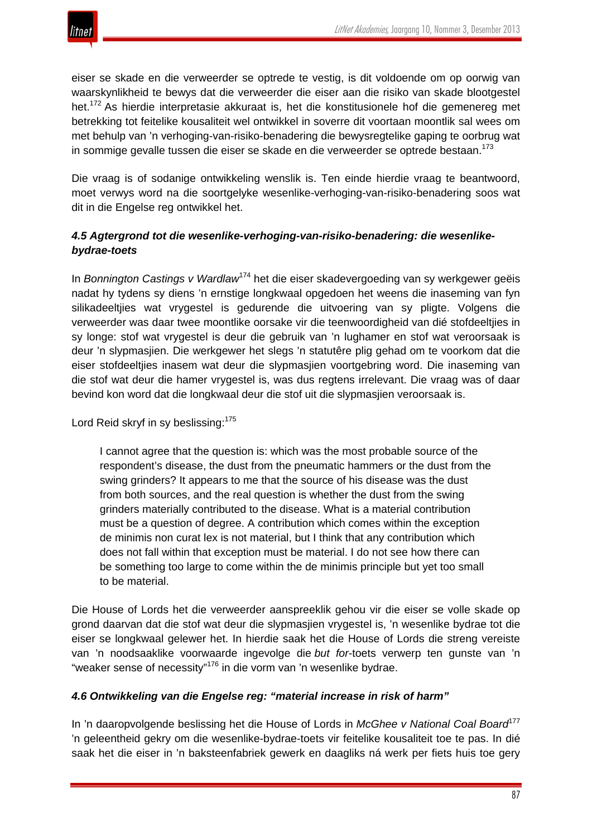

eiser se skade en die verweerder se optrede te vestig, is dit voldoende om op oorwig van waarskynlikheid te bewys dat die verweerder die eiser aan die risiko van skade blootgestel het.<sup>172</sup> As hierdie interpretasie akkuraat is, het die konstitusionele hof die gemenereg met betrekking tot feitelike kousaliteit wel ontwikkel in soverre dit voortaan moontlik sal wees om met behulp van 'n verhoging-van-risiko-benadering die bewysregtelike gaping te oorbrug wat in sommige gevalle tussen die eiser se skade en die verweerder se optrede bestaan. 173

Die vraag is of sodanige ontwikkeling wenslik is. Ten einde hierdie vraag te beantwoord, moet verwys word na die soortgelyke wesenlike-verhoging-van-risiko-benadering soos wat dit in die Engelse reg ontwikkel het.

# *4.5 Agtergrond tot die wesenlike-verhoging-van-risiko-benadering: die wesenlikebydrae-toets*

In *Bonnington Castings v Wardlaw*<sup>174</sup> het die eiser skadevergoeding van sy werkgewer geëis nadat hy tydens sy diens 'n ernstige longkwaal opgedoen het weens die inaseming van fyn silikadeeltjies wat vrygestel is gedurende die uitvoering van sy pligte. Volgens die verweerder was daar twee moontlike oorsake vir die teenwoordigheid van dié stofdeeltjies in sy longe: stof wat vrygestel is deur die gebruik van 'n lughamer en stof wat veroorsaak is deur 'n slypmasjien. Die werkgewer het slegs 'n statutêre plig gehad om te voorkom dat die eiser stofdeeltjies inasem wat deur die slypmasjien voortgebring word. Die inaseming van die stof wat deur die hamer vrygestel is, was dus regtens irrelevant. Die vraag was of daar bevind kon word dat die longkwaal deur die stof uit die slypmasjien veroorsaak is.

Lord Reid skryf in sy beslissing:<sup>175</sup>

I cannot agree that the question is: which was the most probable source of the respondent's disease, the dust from the pneumatic hammers or the dust from the swing grinders? It appears to me that the source of his disease was the dust from both sources, and the real question is whether the dust from the swing grinders materially contributed to the disease. What is a material contribution must be a question of degree. A contribution which comes within the exception de minimis non curat lex is not material, but I think that any contribution which does not fall within that exception must be material. I do not see how there can be something too large to come within the de minimis principle but yet too small to be material.

Die House of Lords het die verweerder aanspreeklik gehou vir die eiser se volle skade op grond daarvan dat die stof wat deur die slypmasjien vrygestel is, 'n wesenlike bydrae tot die eiser se longkwaal gelewer het. In hierdie saak het die House of Lords die streng vereiste van 'n noodsaaklike voorwaarde ingevolge die *but for*-toets verwerp ten gunste van 'n "weaker sense of necessity"<sup>176</sup> in die vorm van 'n wesenlike bydrae.

# *4.6 Ontwikkeling van die Engelse reg: "material increase in risk of harm"*

In 'n daaropvolgende beslissing het die House of Lords in *McGhee v National Coal Board*<sup>177</sup> 'n geleentheid gekry om die wesenlike-bydrae-toets vir feitelike kousaliteit toe te pas. In dié saak het die eiser in 'n baksteenfabriek gewerk en daagliks ná werk per fiets huis toe gery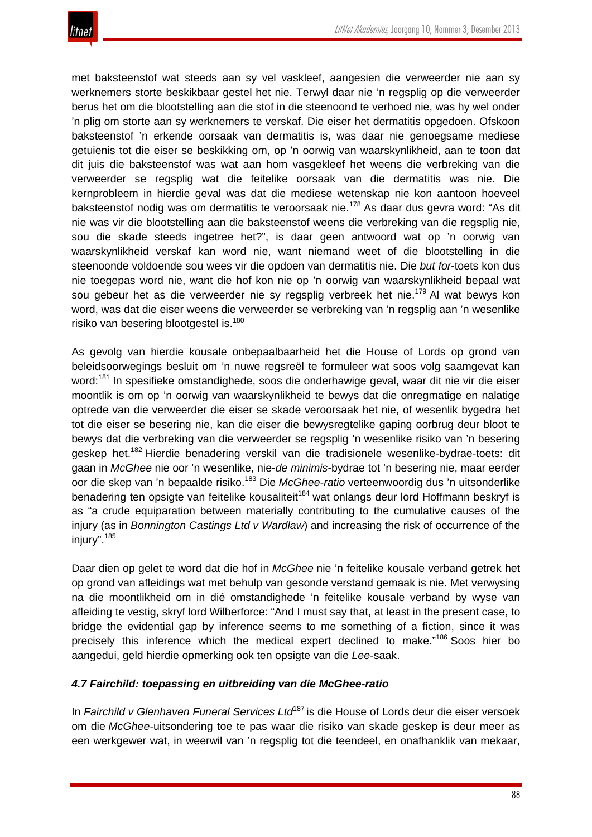met baksteenstof wat steeds aan sy vel vaskleef, aangesien die verweerder nie aan sy werknemers storte beskikbaar gestel het nie. Terwyl daar nie 'n regsplig op die verweerder berus het om die blootstelling aan die stof in die steenoond te verhoed nie, was hy wel onder 'n plig om storte aan sy werknemers te verskaf. Die eiser het dermatitis opgedoen. Ofskoon baksteenstof 'n erkende oorsaak van dermatitis is, was daar nie genoegsame mediese getuienis tot die eiser se beskikking om, op 'n oorwig van waarskynlikheid, aan te toon dat dit juis die baksteenstof was wat aan hom vasgekleef het weens die verbreking van die verweerder se regsplig wat die feitelike oorsaak van die dermatitis was nie. Die kernprobleem in hierdie geval was dat die mediese wetenskap nie kon aantoon hoeveel baksteenstof nodig was om dermatitis te veroorsaak nie.<sup>178</sup> As daar dus gevra word: "As dit nie was vir die blootstelling aan die baksteenstof weens die verbreking van die regsplig nie, sou die skade steeds ingetree het?", is daar geen antwoord wat op 'n oorwig van waarskynlikheid verskaf kan word nie, want niemand weet of die blootstelling in die steenoonde voldoende sou wees vir die opdoen van dermatitis nie. Die *but for*-toets kon dus nie toegepas word nie, want die hof kon nie op 'n oorwig van waarskynlikheid bepaal wat sou gebeur het as die verweerder nie sy regsplig verbreek het nie.<sup>179</sup> Al wat bewys kon word, was dat die eiser weens die verweerder se verbreking van 'n regsplig aan 'n wesenlike risiko van besering blootgestel is.<sup>180</sup>

As gevolg van hierdie kousale onbepaalbaarheid het die House of Lords op grond van beleidsoorwegings besluit om 'n nuwe regsreël te formuleer wat soos volg saamgevat kan word:<sup>181</sup> In spesifieke omstandighede, soos die onderhawige geval, waar dit nie vir die eiser moontlik is om op 'n oorwig van waarskynlikheid te bewys dat die onregmatige en nalatige optrede van die verweerder die eiser se skade veroorsaak het nie, of wesenlik bygedra het tot die eiser se besering nie, kan die eiser die bewysregtelike gaping oorbrug deur bloot te bewys dat die verbreking van die verweerder se regsplig 'n wesenlike risiko van 'n besering geskep het.182 Hierdie benadering verskil van die tradisionele wesenlike-bydrae-toets: dit gaan in *McGhee* nie oor 'n wesenlike, nie-*de minimis*-bydrae tot 'n besering nie, maar eerder oor die skep van 'n bepaalde risiko.<sup>183</sup> Die *McGhee-ratio* verteenwoordig dus 'n uitsonderlike benadering ten opsigte van feitelike kousaliteit<sup>184</sup> wat onlangs deur lord Hoffmann beskryf is as "a crude equiparation between materially contributing to the cumulative causes of the injury (as in *Bonnington Castings Ltd v Wardlaw*) and increasing the risk of occurrence of the injury".<sup>185</sup>

Daar dien op gelet te word dat die hof in *McGhee* nie 'n feitelike kousale verband getrek het op grond van afleidings wat met behulp van gesonde verstand gemaak is nie. Met verwysing na die moontlikheid om in dié omstandighede 'n feitelike kousale verband by wyse van afleiding te vestig, skryf lord Wilberforce: "And I must say that, at least in the present case, to bridge the evidential gap by inference seems to me something of a fiction, since it was precisely this inference which the medical expert declined to make."<sup>186</sup> Soos hier bo aangedui, geld hierdie opmerking ook ten opsigte van die *Lee*-saak.

# *4.7 Fairchild: toepassing en uitbreiding van die McGhee-ratio*

In *Fairchild v Glenhaven Funeral Services Ltd*<sup>187</sup> is die House of Lords deur die eiser versoek om die *McGhee*-uitsondering toe te pas waar die risiko van skade geskep is deur meer as een werkgewer wat, in weerwil van 'n regsplig tot die teendeel, en onafhanklik van mekaar,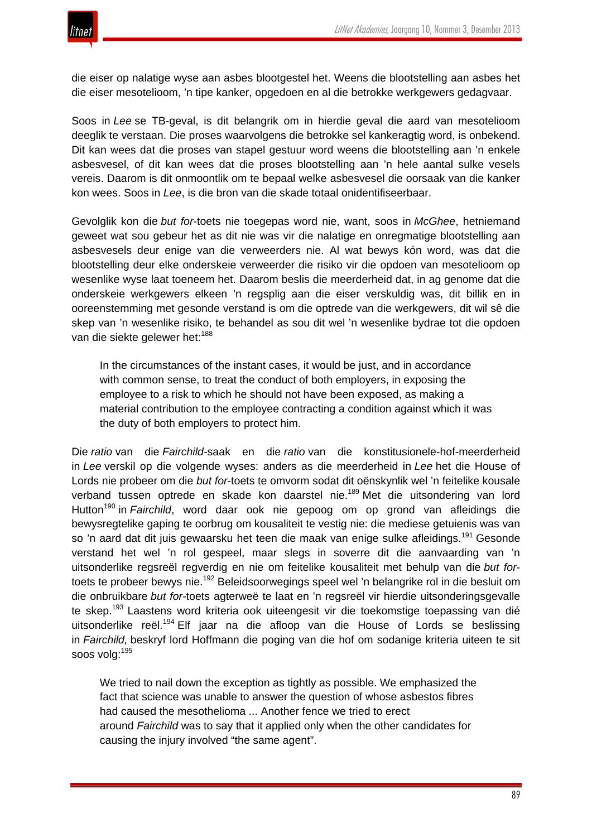

die eiser op nalatige wyse aan asbes blootgestel het. Weens die blootstelling aan asbes het die eiser mesotelioom, 'n tipe kanker, opgedoen en al die betrokke werkgewers gedagvaar.

Soos in *Lee* se TB-geval, is dit belangrik om in hierdie geval die aard van mesotelioom deeglik te verstaan. Die proses waarvolgens die betrokke sel kankeragtig word, is onbekend. Dit kan wees dat die proses van stapel gestuur word weens die blootstelling aan 'n enkele asbesvesel, of dit kan wees dat die proses blootstelling aan 'n hele aantal sulke vesels vereis. Daarom is dit onmoontlik om te bepaal welke asbesvesel die oorsaak van die kanker kon wees. Soos in *Lee*, is die bron van die skade totaal onidentifiseerbaar.

Gevolglik kon die *but for*-toets nie toegepas word nie, want, soos in *McGhee*, hetniemand geweet wat sou gebeur het as dit nie was vir die nalatige en onregmatige blootstelling aan asbesvesels deur enige van die verweerders nie. Al wat bewys kón word, was dat die blootstelling deur elke onderskeie verweerder die risiko vir die opdoen van mesotelioom op wesenlike wyse laat toeneem het. Daarom beslis die meerderheid dat, in ag genome dat die onderskeie werkgewers elkeen 'n regsplig aan die eiser verskuldig was, dit billik en in ooreenstemming met gesonde verstand is om die optrede van die werkgewers, dit wil sê die skep van 'n wesenlike risiko, te behandel as sou dit wel 'n wesenlike bydrae tot die opdoen van die siekte gelewer het:<sup>188</sup>

In the circumstances of the instant cases, it would be just, and in accordance with common sense, to treat the conduct of both employers, in exposing the employee to a risk to which he should not have been exposed, as making a material contribution to the employee contracting a condition against which it was the duty of both employers to protect him.

Die *ratio* van die *Fairchild-*saak en die *ratio* van die konstitusionele-hof-meerderheid in *Lee* verskil op die volgende wyses: anders as die meerderheid in *Lee* het die House of Lords nie probeer om die *but for*-toets te omvorm sodat dit oënskynlik wel 'n feitelike kousale verband tussen optrede en skade kon daarstel nie.<sup>189</sup> Met die uitsondering van lord Hutton<sup>190</sup> in *Fairchild*, word daar ook nie gepoog om op grond van afleidings die bewysregtelike gaping te oorbrug om kousaliteit te vestig nie: die mediese getuienis was van so 'n aard dat dit juis gewaarsku het teen die maak van enige sulke afleidings.<sup>191</sup> Gesonde verstand het wel 'n rol gespeel, maar slegs in soverre dit die aanvaarding van 'n uitsonderlike regsreël regverdig en nie om feitelike kousaliteit met behulp van die *but for*toets te probeer bewys nie.<sup>192</sup> Beleidsoorwegings speel wel 'n belangrike rol in die besluit om die onbruikbare *but for-*toets agterweë te laat en 'n regsreël vir hierdie uitsonderingsgevalle te skep.<sup>193</sup> Laastens word kriteria ook uiteengesit vir die toekomstige toepassing van dié uitsonderlike reël.<sup>194</sup> Elf jaar na die afloop van die House of Lords se beslissing in *Fairchild,* beskryf lord Hoffmann die poging van die hof om sodanige kriteria uiteen te sit soos volg:<sup>195</sup>

We tried to nail down the exception as tightly as possible. We emphasized the fact that science was unable to answer the question of whose asbestos fibres had caused the mesothelioma ... Another fence we tried to erect around *Fairchild* was to say that it applied only when the other candidates for causing the injury involved "the same agent".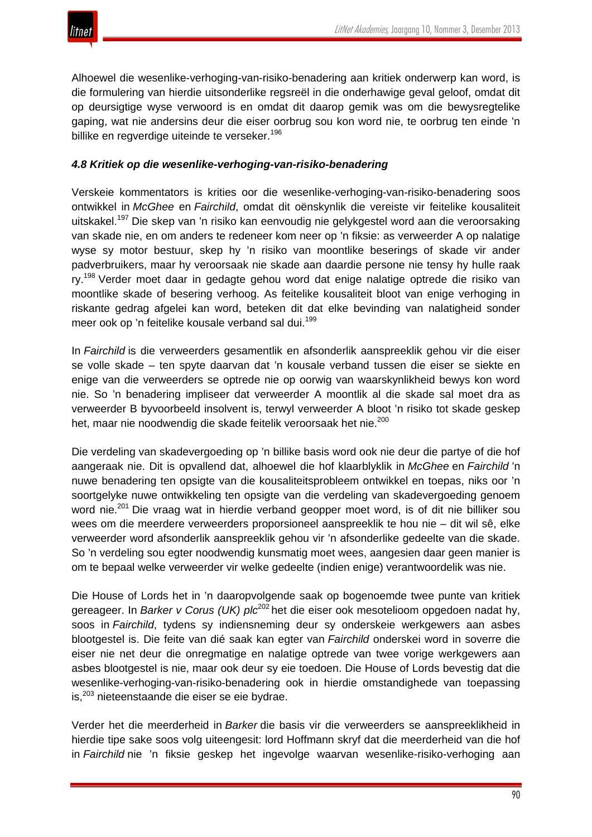Alhoewel die wesenlike-verhoging-van-risiko-benadering aan kritiek onderwerp kan word, is die formulering van hierdie uitsonderlike regsreël in die onderhawige geval geloof, omdat dit op deursigtige wyse verwoord is en omdat dit daarop gemik was om die bewysregtelike gaping, wat nie andersins deur die eiser oorbrug sou kon word nie, te oorbrug ten einde 'n billike en regverdige uiteinde te verseker.<sup>196</sup>

#### *4.8 Kritiek op die wesenlike-verhoging-van-risiko-benadering*

Verskeie kommentators is krities oor die wesenlike-verhoging-van-risiko-benadering soos ontwikkel in *McGhee* en *Fairchild*, omdat dit oënskynlik die vereiste vir feitelike kousaliteit uitskakel.<sup>197</sup> Die skep van 'n risiko kan eenvoudig nie gelykgestel word aan die veroorsaking van skade nie, en om anders te redeneer kom neer op 'n fiksie: as verweerder A op nalatige wyse sy motor bestuur, skep hy 'n risiko van moontlike beserings of skade vir ander padverbruikers, maar hy veroorsaak nie skade aan daardie persone nie tensy hy hulle raak ry.<sup>198</sup> Verder moet daar in gedagte gehou word dat enige nalatige optrede die risiko van moontlike skade of besering verhoog. As feitelike kousaliteit bloot van enige verhoging in riskante gedrag afgelei kan word, beteken dit dat elke bevinding van nalatigheid sonder meer ook op 'n feitelike kousale verband sal dui.<sup>199</sup>

In *Fairchild* is die verweerders gesamentlik en afsonderlik aanspreeklik gehou vir die eiser se volle skade – ten spyte daarvan dat 'n kousale verband tussen die eiser se siekte en enige van die verweerders se optrede nie op oorwig van waarskynlikheid bewys kon word nie. So 'n benadering impliseer dat verweerder A moontlik al die skade sal moet dra as verweerder B byvoorbeeld insolvent is, terwyl verweerder A bloot 'n risiko tot skade geskep het, maar nie noodwendig die skade feitelik veroorsaak het nie.<sup>200</sup>

Die verdeling van skadevergoeding op 'n billike basis word ook nie deur die partye of die hof aangeraak nie. Dit is opvallend dat, alhoewel die hof klaarblyklik in *McGhee* en *Fairchild* 'n nuwe benadering ten opsigte van die kousaliteitsprobleem ontwikkel en toepas, niks oor 'n soortgelyke nuwe ontwikkeling ten opsigte van die verdeling van skadevergoeding genoem word nie.<sup>201</sup> Die vraag wat in hierdie verband geopper moet word, is of dit nie billiker sou wees om die meerdere verweerders proporsioneel aanspreeklik te hou nie – dit wil sê, elke verweerder word afsonderlik aanspreeklik gehou vir 'n afsonderlike gedeelte van die skade. So 'n verdeling sou egter noodwendig kunsmatig moet wees, aangesien daar geen manier is om te bepaal welke verweerder vir welke gedeelte (indien enige) verantwoordelik was nie.

Die House of Lords het in 'n daaropvolgende saak op bogenoemde twee punte van kritiek gereageer. In *Barker v Corus (UK) plc*<sup>202</sup> het die eiser ook mesotelioom opgedoen nadat hy, soos in *Fairchild*, tydens sy indiensneming deur sy onderskeie werkgewers aan asbes blootgestel is. Die feite van dié saak kan egter van *Fairchild* onderskei word in soverre die eiser nie net deur die onregmatige en nalatige optrede van twee vorige werkgewers aan asbes blootgestel is nie, maar ook deur sy eie toedoen. Die House of Lords bevestig dat die wesenlike-verhoging-van-risiko-benadering ook in hierdie omstandighede van toepassing is.<sup>203</sup> nieteenstaande die eiser se eie bydrae.

Verder het die meerderheid in *Barker* die basis vir die verweerders se aanspreeklikheid in hierdie tipe sake soos volg uiteengesit: lord Hoffmann skryf dat die meerderheid van die hof in *Fairchild* nie 'n fiksie geskep het ingevolge waarvan wesenlike-risiko-verhoging aan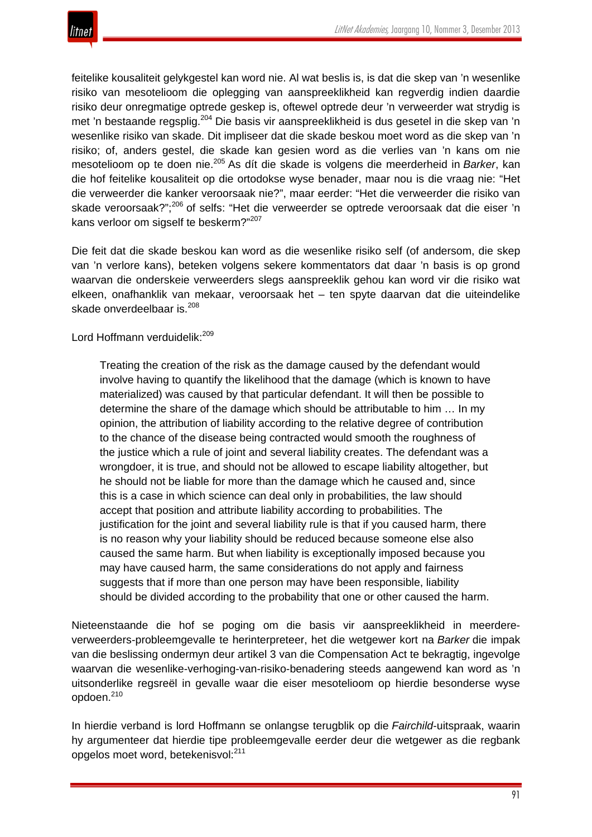

feitelike kousaliteit gelykgestel kan word nie. Al wat beslis is, is dat die skep van 'n wesenlike risiko van mesotelioom die oplegging van aanspreeklikheid kan regverdig indien daardie risiko deur onregmatige optrede geskep is, oftewel optrede deur 'n verweerder wat strydig is met 'n bestaande regsplig.<sup>204</sup> Die basis vir aanspreeklikheid is dus gesetel in die skep van 'n wesenlike risiko van skade. Dit impliseer dat die skade beskou moet word as die skep van 'n risiko; of, anders gestel, die skade kan gesien word as die verlies van 'n kans om nie mesotelioom op te doen nie.<sup>205</sup> As dít die skade is volgens die meerderheid in *Barker*, kan die hof feitelike kousaliteit op die ortodokse wyse benader, maar nou is die vraag nie: "Het die verweerder die kanker veroorsaak nie?", maar eerder: "Het die verweerder die risiko van skade veroorsaak?";<sup>206</sup> of selfs: "Het die verweerder se optrede veroorsaak dat die eiser 'n kans verloor om sigself te beskerm?"<sup>207</sup>

Die feit dat die skade beskou kan word as die wesenlike risiko self (of andersom, die skep van 'n verlore kans), beteken volgens sekere kommentators dat daar 'n basis is op grond waarvan die onderskeie verweerders slegs aanspreeklik gehou kan word vir die risiko wat elkeen, onafhanklik van mekaar, veroorsaak het – ten spyte daarvan dat die uiteindelike skade onverdeelbaar is.<sup>208</sup>

Lord Hoffmann verduidelik:<sup>209</sup>

Treating the creation of the risk as the damage caused by the defendant would involve having to quantify the likelihood that the damage (which is known to have materialized) was caused by that particular defendant. It will then be possible to determine the share of the damage which should be attributable to him … In my opinion, the attribution of liability according to the relative degree of contribution to the chance of the disease being contracted would smooth the roughness of the justice which a rule of joint and several liability creates. The defendant was a wrongdoer, it is true, and should not be allowed to escape liability altogether, but he should not be liable for more than the damage which he caused and, since this is a case in which science can deal only in probabilities, the law should accept that position and attribute liability according to probabilities. The justification for the joint and several liability rule is that if you caused harm, there is no reason why your liability should be reduced because someone else also caused the same harm. But when liability is exceptionally imposed because you may have caused harm, the same considerations do not apply and fairness suggests that if more than one person may have been responsible, liability should be divided according to the probability that one or other caused the harm.

Nieteenstaande die hof se poging om die basis vir aanspreeklikheid in meerdereverweerders-probleemgevalle te herinterpreteer, het die wetgewer kort na *Barker* die impak van die beslissing ondermyn deur artikel 3 van die Compensation Act te bekragtig, ingevolge waarvan die wesenlike-verhoging-van-risiko-benadering steeds aangewend kan word as 'n uitsonderlike regsreël in gevalle waar die eiser mesotelioom op hierdie besonderse wyse opdoen.<sup>210</sup>

In hierdie verband is lord Hoffmann se onlangse terugblik op die *Fairchild*-uitspraak, waarin hy argumenteer dat hierdie tipe probleemgevalle eerder deur die wetgewer as die regbank opgelos moet word, betekenisvol:<sup>211</sup>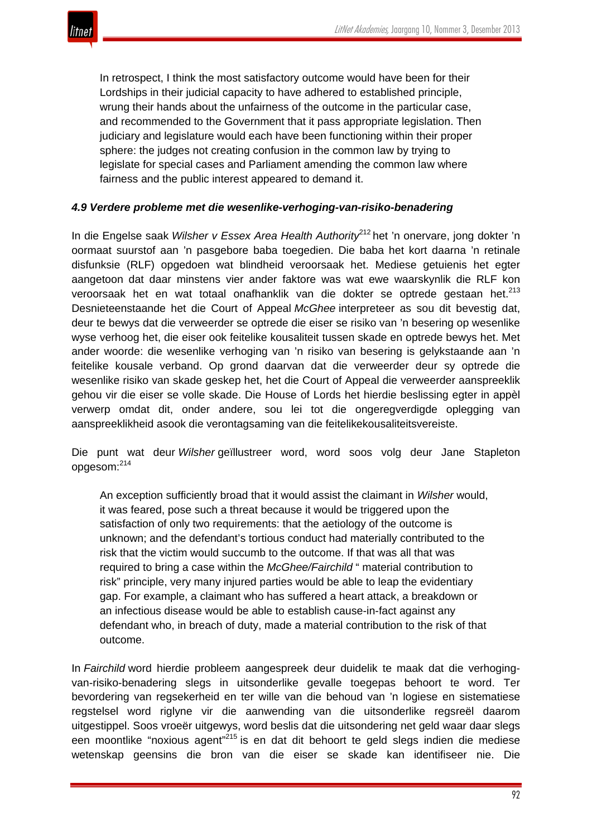

In retrospect, I think the most satisfactory outcome would have been for their Lordships in their judicial capacity to have adhered to established principle, wrung their hands about the unfairness of the outcome in the particular case, and recommended to the Government that it pass appropriate legislation. Then judiciary and legislature would each have been functioning within their proper sphere: the judges not creating confusion in the common law by trying to legislate for special cases and Parliament amending the common law where fairness and the public interest appeared to demand it.

### *4.9 Verdere probleme met die wesenlike-verhoging-van-risiko-benadering*

In die Engelse saak *Wilsher v Essex Area Health Authority*<sup>212</sup> het 'n onervare, jong dokter 'n oormaat suurstof aan 'n pasgebore baba toegedien. Die baba het kort daarna 'n retinale disfunksie (RLF) opgedoen wat blindheid veroorsaak het. Mediese getuienis het egter aangetoon dat daar minstens vier ander faktore was wat ewe waarskynlik die RLF kon veroorsaak het en wat totaal onafhanklik van die dokter se optrede gestaan het.<sup>213</sup> Desnieteenstaande het die Court of Appeal *McGhee* interpreteer as sou dit bevestig dat, deur te bewys dat die verweerder se optrede die eiser se risiko van 'n besering op wesenlike wyse verhoog het, die eiser ook feitelike kousaliteit tussen skade en optrede bewys het. Met ander woorde: die wesenlike verhoging van 'n risiko van besering is gelykstaande aan 'n feitelike kousale verband. Op grond daarvan dat die verweerder deur sy optrede die wesenlike risiko van skade geskep het, het die Court of Appeal die verweerder aanspreeklik gehou vir die eiser se volle skade. Die House of Lords het hierdie beslissing egter in appèl verwerp omdat dit, onder andere, sou lei tot die ongeregverdigde oplegging van aanspreeklikheid asook die verontagsaming van die feitelikekousaliteitsvereiste.

Die punt wat deur *Wilsher* geïllustreer word, word soos volg deur Jane Stapleton opgesom:<sup>214</sup>

An exception sufficiently broad that it would assist the claimant in *Wilsher* would, it was feared, pose such a threat because it would be triggered upon the satisfaction of only two requirements: that the aetiology of the outcome is unknown; and the defendant's tortious conduct had materially contributed to the risk that the victim would succumb to the outcome. If that was all that was required to bring a case within the *McGhee/Fairchild* " material contribution to risk" principle, very many injured parties would be able to leap the evidentiary gap. For example, a claimant who has suffered a heart attack, a breakdown or an infectious disease would be able to establish cause-in-fact against any defendant who, in breach of duty, made a material contribution to the risk of that outcome.

In *Fairchild* word hierdie probleem aangespreek deur duidelik te maak dat die verhogingvan-risiko-benadering slegs in uitsonderlike gevalle toegepas behoort te word. Ter bevordering van regsekerheid en ter wille van die behoud van 'n logiese en sistematiese regstelsel word riglyne vir die aanwending van die uitsonderlike regsreël daarom uitgestippel. Soos vroeër uitgewys, word beslis dat die uitsondering net geld waar daar slegs een moontlike "noxious agent"<sup>215</sup> is en dat dit behoort te geld slegs indien die mediese wetenskap geensins die bron van die eiser se skade kan identifiseer nie. Die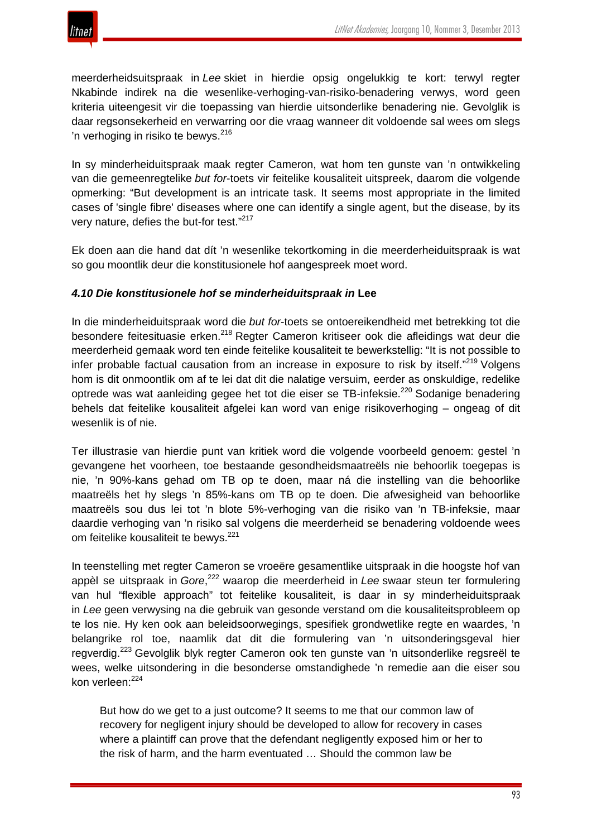

meerderheidsuitspraak in *Lee* skiet in hierdie opsig ongelukkig te kort: terwyl regter Nkabinde indirek na die wesenlike-verhoging-van-risiko-benadering verwys, word geen kriteria uiteengesit vir die toepassing van hierdie uitsonderlike benadering nie. Gevolglik is daar regsonsekerheid en verwarring oor die vraag wanneer dit voldoende sal wees om slegs 'n verhoging in risiko te bewys. $216$ 

In sy minderheiduitspraak maak regter Cameron, wat hom ten gunste van 'n ontwikkeling van die gemeenregtelike *but for*-toets vir feitelike kousaliteit uitspreek, daarom die volgende opmerking: "But development is an intricate task. It seems most appropriate in the limited cases of 'single fibre' diseases where one can identify a single agent, but the disease, by its very nature, defies the but-for test."217

Ek doen aan die hand dat dít 'n wesenlike tekortkoming in die meerderheiduitspraak is wat so gou moontlik deur die konstitusionele hof aangespreek moet word.

#### *4.10 Die konstitusionele hof se minderheiduitspraak in* **Lee**

In die minderheiduitspraak word die *but for*-toets se ontoereikendheid met betrekking tot die besondere feitesituasie erken.<sup>218</sup> Regter Cameron kritiseer ook die afleidings wat deur die meerderheid gemaak word ten einde feitelike kousaliteit te bewerkstellig: "It is not possible to infer probable factual causation from an increase in exposure to risk by itself."<sup>219</sup> Volgens hom is dit onmoontlik om af te lei dat dit die nalatige versuim, eerder as onskuldige, redelike optrede was wat aanleiding gegee het tot die eiser se TB-infeksie.<sup>220</sup> Sodanige benadering behels dat feitelike kousaliteit afgelei kan word van enige risikoverhoging – ongeag of dit wesenlik is of nie.

Ter illustrasie van hierdie punt van kritiek word die volgende voorbeeld genoem: gestel 'n gevangene het voorheen, toe bestaande gesondheidsmaatreëls nie behoorlik toegepas is nie, 'n 90%-kans gehad om TB op te doen, maar ná die instelling van die behoorlike maatreëls het hy slegs 'n 85%-kans om TB op te doen. Die afwesigheid van behoorlike maatreëls sou dus lei tot 'n blote 5%-verhoging van die risiko van 'n TB-infeksie, maar daardie verhoging van 'n risiko sal volgens die meerderheid se benadering voldoende wees om feitelike kousaliteit te bewys.<sup>221</sup>

In teenstelling met regter Cameron se vroeëre gesamentlike uitspraak in die hoogste hof van appèl se uitspraak in *Gore*, <sup>222</sup> waarop die meerderheid in *Lee* swaar steun ter formulering van hul "flexible approach" tot feitelike kousaliteit, is daar in sy minderheiduitspraak in *Lee* geen verwysing na die gebruik van gesonde verstand om die kousaliteitsprobleem op te los nie. Hy ken ook aan beleidsoorwegings, spesifiek grondwetlike regte en waardes, 'n belangrike rol toe, naamlik dat dit die formulering van 'n uitsonderingsgeval hier regverdig.<sup>223</sup> Gevolglik blyk regter Cameron ook ten gunste van 'n uitsonderlike regsreël te wees, welke uitsondering in die besonderse omstandighede 'n remedie aan die eiser sou kon verleen:<sup>224</sup>

But how do we get to a just outcome? It seems to me that our common law of recovery for negligent injury should be developed to allow for recovery in cases where a plaintiff can prove that the defendant negligently exposed him or her to the risk of harm, and the harm eventuated … Should the common law be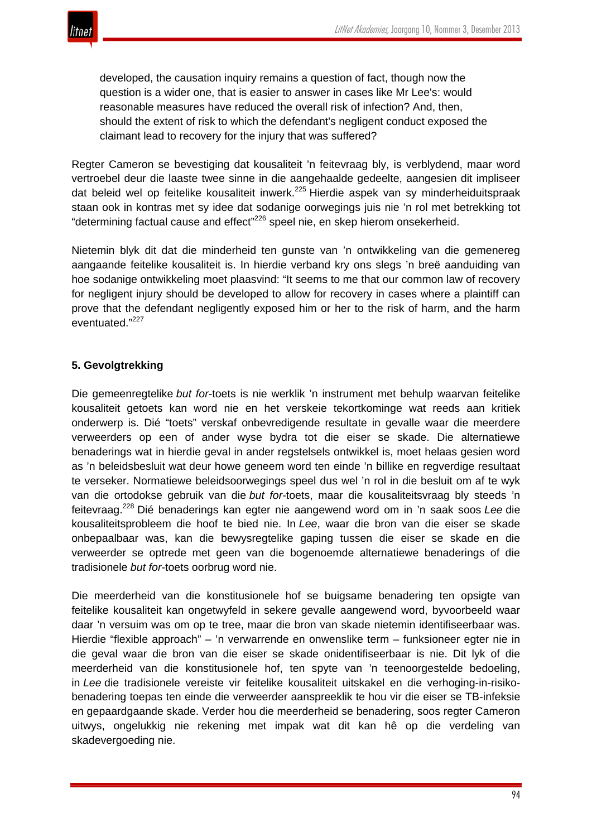

developed, the causation inquiry remains a question of fact, though now the question is a wider one, that is easier to answer in cases like Mr Lee's: would reasonable measures have reduced the overall risk of infection? And, then, should the extent of risk to which the defendant's negligent conduct exposed the claimant lead to recovery for the injury that was suffered?

Regter Cameron se bevestiging dat kousaliteit 'n feitevraag bly, is verblydend, maar word vertroebel deur die laaste twee sinne in die aangehaalde gedeelte, aangesien dit impliseer dat beleid wel op feitelike kousaliteit inwerk.<sup>225</sup> Hierdie aspek van sy minderheiduitspraak staan ook in kontras met sy idee dat sodanige oorwegings juis nie 'n rol met betrekking tot "determining factual cause and effect"<sup>226</sup> speel nie, en skep hierom onsekerheid.

Nietemin blyk dit dat die minderheid ten gunste van 'n ontwikkeling van die gemenereg aangaande feitelike kousaliteit is. In hierdie verband kry ons slegs 'n breë aanduiding van hoe sodanige ontwikkeling moet plaasvind: "It seems to me that our common law of recovery for negligent injury should be developed to allow for recovery in cases where a plaintiff can prove that the defendant negligently exposed him or her to the risk of harm, and the harm eventuated."<sup>227</sup>

## **5. Gevolgtrekking**

Die gemeenregtelike *but for*-toets is nie werklik 'n instrument met behulp waarvan feitelike kousaliteit getoets kan word nie en het verskeie tekortkominge wat reeds aan kritiek onderwerp is. Dié "toets" verskaf onbevredigende resultate in gevalle waar die meerdere verweerders op een of ander wyse bydra tot die eiser se skade. Die alternatiewe benaderings wat in hierdie geval in ander regstelsels ontwikkel is, moet helaas gesien word as 'n beleidsbesluit wat deur howe geneem word ten einde 'n billike en regverdige resultaat te verseker. Normatiewe beleidsoorwegings speel dus wel 'n rol in die besluit om af te wyk van die ortodokse gebruik van die *but for*-toets, maar die kousaliteitsvraag bly steeds 'n feitevraag.<sup>228</sup> Dié benaderings kan egter nie aangewend word om in 'n saak soos *Lee* die kousaliteitsprobleem die hoof te bied nie. In *Lee*, waar die bron van die eiser se skade onbepaalbaar was, kan die bewysregtelike gaping tussen die eiser se skade en die verweerder se optrede met geen van die bogenoemde alternatiewe benaderings of die tradisionele *but for*-toets oorbrug word nie.

Die meerderheid van die konstitusionele hof se buigsame benadering ten opsigte van feitelike kousaliteit kan ongetwyfeld in sekere gevalle aangewend word, byvoorbeeld waar daar 'n versuim was om op te tree, maar die bron van skade nietemin identifiseerbaar was. Hierdie "flexible approach" – 'n verwarrende en onwenslike term – funksioneer egter nie in die geval waar die bron van die eiser se skade onidentifiseerbaar is nie. Dit lyk of die meerderheid van die konstitusionele hof, ten spyte van 'n teenoorgestelde bedoeling, in *Lee* die tradisionele vereiste vir feitelike kousaliteit uitskakel en die verhoging-in-risikobenadering toepas ten einde die verweerder aanspreeklik te hou vir die eiser se TB-infeksie en gepaardgaande skade. Verder hou die meerderheid se benadering, soos regter Cameron uitwys, ongelukkig nie rekening met impak wat dit kan hê op die verdeling van skadevergoeding nie.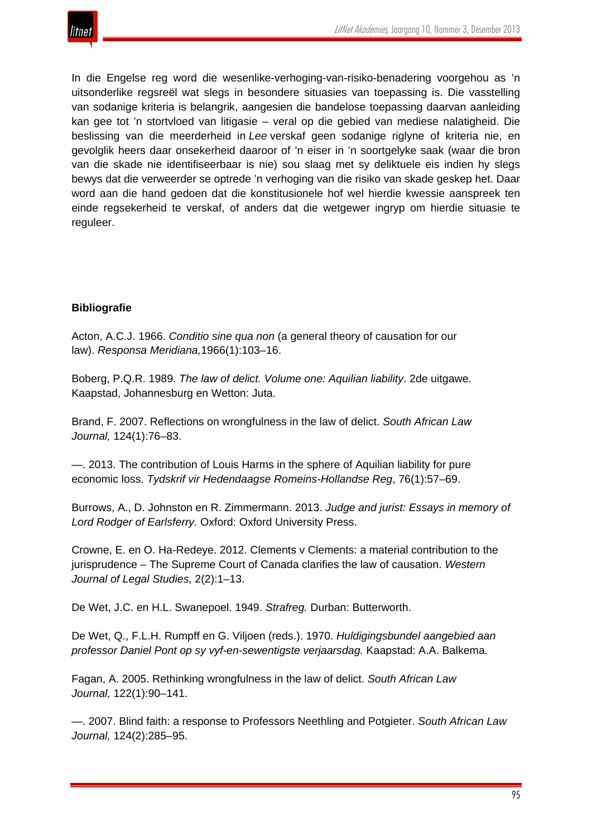

In die Engelse reg word die wesenlike-verhoging-van-risiko-benadering voorgehou as 'n uitsonderlike regsreël wat slegs in besondere situasies van toepassing is. Die vasstelling van sodanige kriteria is belangrik, aangesien die bandelose toepassing daarvan aanleiding kan gee tot 'n stortvloed van litigasie – veral op die gebied van mediese nalatigheid. Die beslissing van die meerderheid in *Lee* verskaf geen sodanige riglyne of kriteria nie, en gevolglik heers daar onsekerheid daaroor of 'n eiser in 'n soortgelyke saak (waar die bron van die skade nie identifiseerbaar is nie) sou slaag met sy deliktuele eis indien hy slegs bewys dat die verweerder se optrede 'n verhoging van die risiko van skade geskep het. Daar word aan die hand gedoen dat die konstitusionele hof wel hierdie kwessie aanspreek ten einde regsekerheid te verskaf, of anders dat die wetgewer ingryp om hierdie situasie te reguleer.

## **Bibliografie**

Acton, A.C.J. 1966. *Conditio sine qua non* (a general theory of causation for our law). *Responsa Meridiana,*1966(1):103–16.

Boberg, P.Q.R. 1989. *The law of delict. Volume one: Aquilian liability*. 2de uitgawe. Kaapstad, Johannesburg en Wetton: Juta.

Brand, F. 2007. Reflections on wrongfulness in the law of delict. *South African Law Journal,* 124(1):76–83.

—. 2013. The contribution of Louis Harms in the sphere of Aquilian liability for pure economic loss. *Tydskrif vir Hedendaagse Romeins-Hollandse Reg*, 76(1):57–69.

Burrows, A., D. Johnston en R. Zimmermann. 2013. *Judge and jurist: Essays in memory of Lord Rodger of Earlsferry.* Oxford: Oxford University Press.

Crowne, E. en O. Ha-Redeye. 2012. Clements v Clements: a material contribution to the jurisprudence – The Supreme Court of Canada clarifies the law of causation. *Western Journal of Legal Studies,* 2(2):1–13.

De Wet, J.C. en H.L. Swanepoel. 1949. *Strafreg.* Durban: Butterworth.

De Wet, Q., F.L.H. Rumpff en G. Viljoen (reds.). 1970. *Huldigingsbundel aangebied aan professor Daniel Pont op sy vyf-en-sewentigste verjaarsdag.* Kaapstad: A.A. Balkema.

Fagan, A. 2005. Rethinking wrongfulness in the law of delict. *South African Law Journal,* 122(1):90–141.

—. 2007. Blind faith: a response to Professors Neethling and Potgieter. *South African Law Journal,* 124(2):285–95.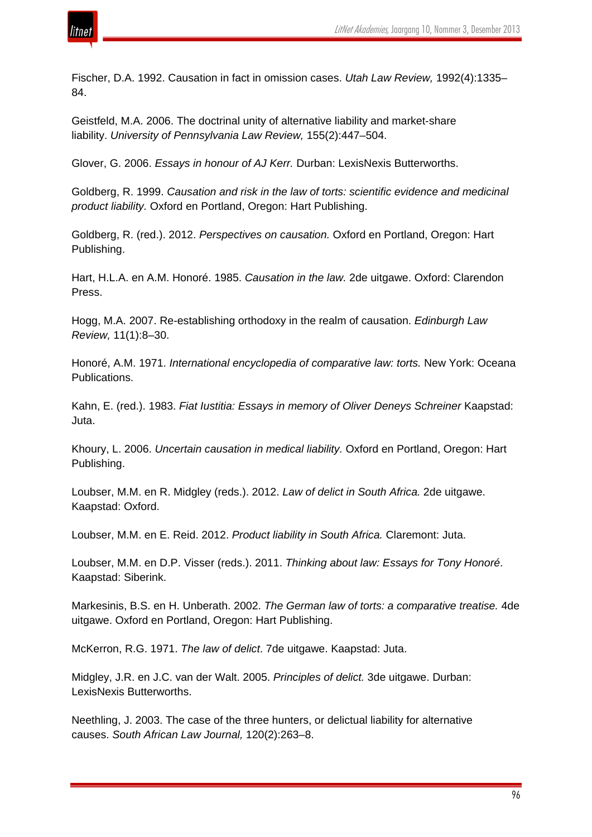



Fischer, D.A. 1992. Causation in fact in omission cases. *Utah Law Review,* 1992(4):1335– 84.

Geistfeld, M.A. 2006. The doctrinal unity of alternative liability and market-share liability. *University of Pennsylvania Law Review,* 155(2):447–504.

Glover, G. 2006. *Essays in honour of AJ Kerr.* Durban: LexisNexis Butterworths.

Goldberg, R. 1999. *Causation and risk in the law of torts: scientific evidence and medicinal product liability.* Oxford en Portland, Oregon: Hart Publishing.

Goldberg, R. (red.). 2012. *Perspectives on causation.* Oxford en Portland, Oregon: Hart Publishing.

Hart, H.L.A. en A.M. Honoré. 1985. *Causation in the law.* 2de uitgawe. Oxford: Clarendon Press.

Hogg, M.A. 2007. Re-establishing orthodoxy in the realm of causation. *Edinburgh Law Review,* 11(1):8–30.

Honoré, A.M. 1971. *International encyclopedia of comparative law: torts.* New York: Oceana Publications.

Kahn, E. (red.). 1983. *Fiat Iustitia: Essays in memory of Oliver Deneys Schreiner* Kaapstad: Juta.

Khoury, L. 2006. *Uncertain causation in medical liability.* Oxford en Portland, Oregon: Hart Publishing.

Loubser, M.M. en R. Midgley (reds.). 2012. *Law of delict in South Africa.* 2de uitgawe. Kaapstad: Oxford.

Loubser, M.M. en E. Reid. 2012. *Product liability in South Africa.* Claremont: Juta.

Loubser, M.M. en D.P. Visser (reds.). 2011. *Thinking about law: Essays for Tony Honoré*. Kaapstad: Siberink.

Markesinis, B.S. en H. Unberath. 2002. *The German law of torts: a comparative treatise.* 4de uitgawe. Oxford en Portland, Oregon: Hart Publishing.

McKerron, R.G. 1971. *The law of delict*. 7de uitgawe. Kaapstad: Juta.

Midgley, J.R. en J.C. van der Walt. 2005. *Principles of delict.* 3de uitgawe. Durban: LexisNexis Butterworths.

Neethling, J. 2003. The case of the three hunters, or delictual liability for alternative causes. *South African Law Journal,* 120(2):263–8.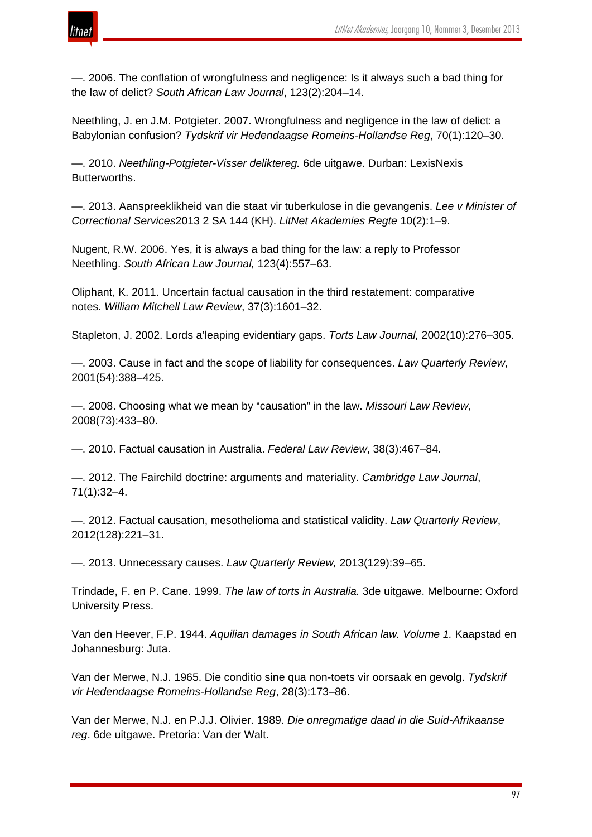

—. 2006. The conflation of wrongfulness and negligence: Is it always such a bad thing for the law of delict? *South African Law Journal*, 123(2):204–14.

Neethling, J. en J.M. Potgieter. 2007. Wrongfulness and negligence in the law of delict: a Babylonian confusion? *Tydskrif vir Hedendaagse Romeins-Hollandse Reg*, 70(1):120–30.

—. 2010. *Neethling-Potgieter-Visser deliktereg.* 6de uitgawe. Durban: LexisNexis Butterworths.

—. 2013. Aanspreeklikheid van die staat vir tuberkulose in die gevangenis. *Lee v Minister of Correctional Services*2013 2 SA 144 (KH). *LitNet Akademies Regte* 10(2):1–9.

Nugent, R.W. 2006. Yes, it is always a bad thing for the law: a reply to Professor Neethling. *South African Law Journal,* 123(4):557–63.

Oliphant, K. 2011. Uncertain factual causation in the third restatement: comparative notes. *William Mitchell Law Review*, 37(3):1601–32.

Stapleton, J. 2002. Lords a'leaping evidentiary gaps. *Torts Law Journal,* 2002(10):276–305.

—. 2003. Cause in fact and the scope of liability for consequences. *Law Quarterly Review*, 2001(54):388–425.

—. 2008. Choosing what we mean by "causation" in the law. *Missouri Law Review*, 2008(73):433–80.

—. 2010. Factual causation in Australia. *Federal Law Review*, 38(3):467–84.

—. 2012. The Fairchild doctrine: arguments and materiality. *Cambridge Law Journal*, 71(1):32–4.

—. 2012. Factual causation, mesothelioma and statistical validity. *Law Quarterly Review*, 2012(128):221–31.

—. 2013. Unnecessary causes. *Law Quarterly Review,* 2013(129):39–65.

Trindade, F. en P. Cane. 1999. *The law of torts in Australia.* 3de uitgawe. Melbourne: Oxford University Press.

Van den Heever, F.P. 1944. *Aquilian damages in South African law. Volume 1.* Kaapstad en Johannesburg: Juta.

Van der Merwe, N.J. 1965. Die conditio sine qua non-toets vir oorsaak en gevolg. *Tydskrif vir Hedendaagse Romeins-Hollandse Reg*, 28(3):173–86.

Van der Merwe, N.J. en P.J.J. Olivier. 1989. *Die onregmatige daad in die Suid-Afrikaanse reg*. 6de uitgawe. Pretoria: Van der Walt.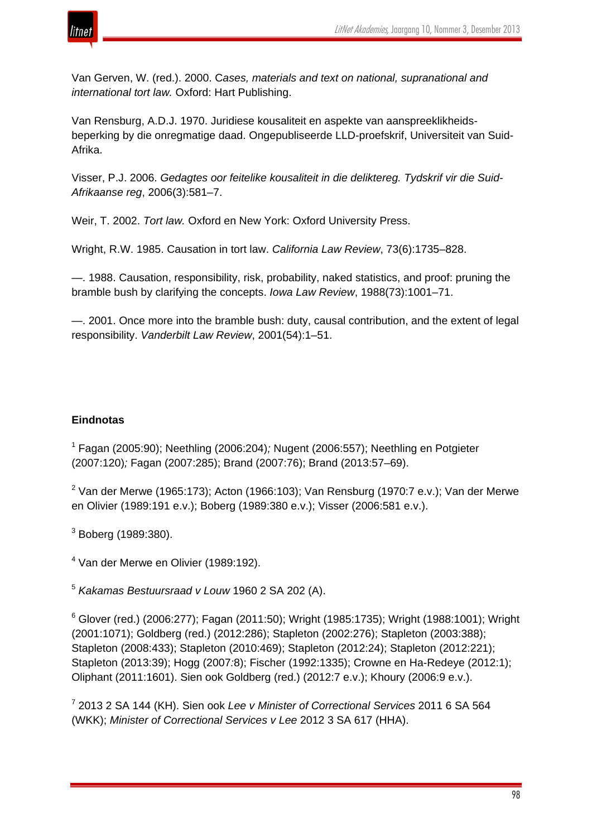

Van Gerven, W. (red.). 2000. C*ases, materials and text on national, supranational and international tort law.* Oxford: Hart Publishing.

Van Rensburg, A.D.J. 1970. Juridiese kousaliteit en aspekte van aanspreeklikheidsbeperking by die onregmatige daad. Ongepubliseerde LLD-proefskrif, Universiteit van Suid-Afrika.

Visser, P.J. 2006. *Gedagtes oor feitelike kousaliteit in die deliktereg. Tydskrif vir die Suid-Afrikaanse reg*, 2006(3):581–7.

Weir, T. 2002. *Tort law.* Oxford en New York: Oxford University Press.

Wright, R.W. 1985. Causation in tort law. *California Law Review*, 73(6):1735–828.

—. 1988. Causation, responsibility, risk, probability, naked statistics, and proof: pruning the bramble bush by clarifying the concepts. *Iowa Law Review*, 1988(73):1001–71.

—. 2001. Once more into the bramble bush: duty, causal contribution, and the extent of legal responsibility. *Vanderbilt Law Review*, 2001(54):1–51.

## **Eindnotas**

<sup>1</sup> Fagan (2005:90); Neethling (2006:204)*;* Nugent (2006:557); Neethling en Potgieter (2007:120)*;* Fagan (2007:285); Brand (2007:76); Brand (2013:57–69).

 $2$  Van der Merwe (1965:173); Acton (1966:103); Van Rensburg (1970:7 e.v.); Van der Merwe en Olivier (1989:191 e.v.); Boberg (1989:380 e.v.); Visser (2006:581 e.v.).

 $3$  Boberg (1989:380).

<sup>4</sup> Van der Merwe en Olivier (1989:192).

<sup>5</sup> *Kakamas Bestuursraad v Louw* 1960 2 SA 202 (A).

<sup>6</sup> Glover (red.) (2006:277); Fagan (2011:50); Wright (1985:1735); Wright (1988:1001); Wright (2001:1071); Goldberg (red.) (2012:286); Stapleton (2002:276); Stapleton (2003:388); Stapleton (2008:433); Stapleton (2010:469); Stapleton (2012:24); Stapleton (2012:221); Stapleton (2013:39); Hogg (2007*:*8); Fischer (1992:1335); Crowne en Ha-Redeye (2012:1); Oliphant (2011:1601). Sien ook Goldberg (red.) (2012:7 e.v.); Khoury (2006:9 e.v.).

<sup>7</sup> 2013 2 SA 144 (KH). Sien ook *Lee v Minister of Correctional Services* 2011 6 SA 564 (WKK); *Minister of Correctional Services v Lee* 2012 3 SA 617 (HHA).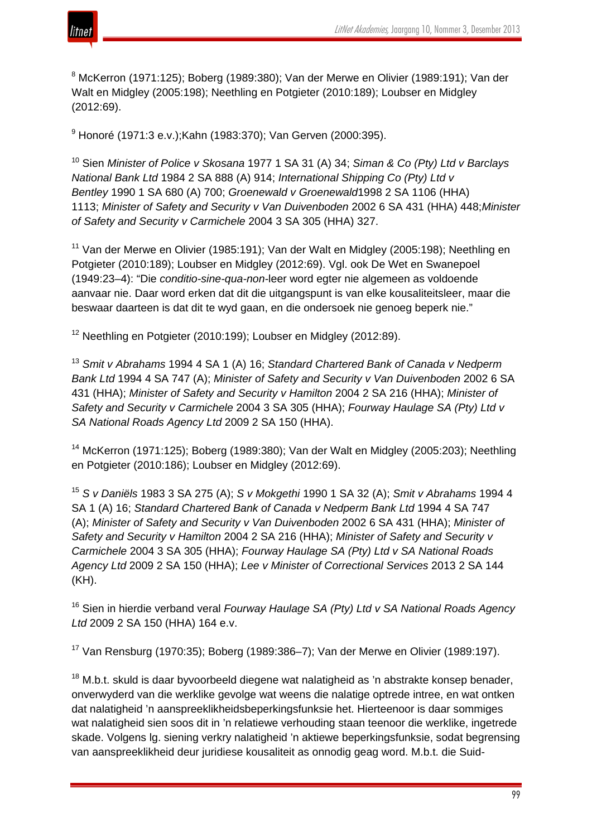

 $8$  McKerron (1971:125); Boberg (1989:380); Van der Merwe en Olivier (1989:191); Van der Walt en Midgley (2005:198); Neethling en Potgieter (2010:189); Loubser en Midgley (2012:69).

<sup>9</sup> Honoré (1971:3 e.v.);Kahn (1983:370); Van Gerven (2000:395).

<sup>10</sup> Sien *Minister of Police v Skosana* 1977 1 SA 31 (A) 34; *Siman & Co (Pty) Ltd v Barclays National Bank Ltd* 1984 2 SA 888 (A) 914; *International Shipping Co (Pty) Ltd v Bentley* 1990 1 SA 680 (A) 700; *Groenewald v Groenewald*1998 2 SA 1106 (HHA) 1113; *Minister of Safety and Security v Van Duivenboden* 2002 6 SA 431 (HHA) 448;*Minister of Safety and Security v Carmichele* 2004 3 SA 305 (HHA) 327.

 $11$  Van der Merwe en Olivier (1985:191); Van der Walt en Midgley (2005:198); Neethling en Potgieter (2010:189); Loubser en Midgley (2012:69). Vgl. ook De Wet en Swanepoel (1949:23–4): "Die *conditio-sine-qua-non-*leer word egter nie algemeen as voldoende aanvaar nie. Daar word erken dat dit die uitgangspunt is van elke kousaliteitsleer, maar die beswaar daarteen is dat dit te wyd gaan, en die ondersoek nie genoeg beperk nie."

<sup>12</sup> Neethling en Potgieter (2010:199); Loubser en Midgley (2012:89).

<sup>13</sup> *Smit v Abrahams* 1994 4 SA 1 (A) 16; *Standard Chartered Bank of Canada v Nedperm Bank Ltd* 1994 4 SA 747 (A); *Minister of Safety and Security v Van Duivenboden* 2002 6 SA 431 (HHA); *Minister of Safety and Security v Hamilton* 2004 2 SA 216 (HHA); *Minister of Safety and Security v Carmichele* 2004 3 SA 305 (HHA); *Fourway Haulage SA (Pty) Ltd v SA National Roads Agency Ltd* 2009 2 SA 150 (HHA).

<sup>14</sup> McKerron (1971:125); Boberg (1989:380); Van der Walt en Midgley (2005:203); Neethling en Potgieter (2010:186); Loubser en Midgley (2012:69).

<sup>15</sup> *S v Daniëls* 1983 3 SA 275 (A); *S v Mokgethi* 1990 1 SA 32 (A); *Smit v Abrahams* 1994 4 SA 1 (A) 16; *Standard Chartered Bank of Canada v Nedperm Bank Ltd* 1994 4 SA 747 (A); *Minister of Safety and Security v Van Duivenboden* 2002 6 SA 431 (HHA); *Minister of Safety and Security v Hamilton* 2004 2 SA 216 (HHA); *Minister of Safety and Security v Carmichele* 2004 3 SA 305 (HHA); *Fourway Haulage SA (Pty) Ltd v SA National Roads Agency Ltd* 2009 2 SA 150 (HHA); *Lee v Minister of Correctional Services* 2013 2 SA 144 (KH).

<sup>16</sup> Sien in hierdie verband veral *Fourway Haulage SA (Pty) Ltd v SA National Roads Agency Ltd* 2009 2 SA 150 (HHA) 164 e.v.

<sup>17</sup> Van Rensburg (1970:35); Boberg (1989:386–7); Van der Merwe en Olivier (1989:197).

 $18$  M.b.t. skuld is daar byvoorbeeld diegene wat nalatigheid as 'n abstrakte konsep benader, onverwyderd van die werklike gevolge wat weens die nalatige optrede intree, en wat ontken dat nalatigheid 'n aanspreeklikheidsbeperkingsfunksie het. Hierteenoor is daar sommiges wat nalatigheid sien soos dit in 'n relatiewe verhouding staan teenoor die werklike, ingetrede skade. Volgens lg. siening verkry nalatigheid 'n aktiewe beperkingsfunksie, sodat begrensing van aanspreeklikheid deur juridiese kousaliteit as onnodig geag word. M.b.t. die Suid-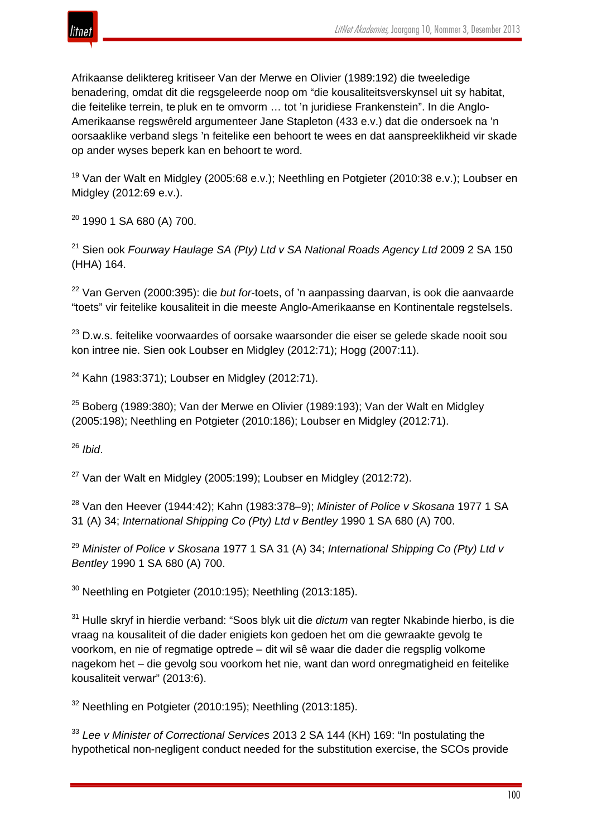

Afrikaanse deliktereg kritiseer Van der Merwe en Olivier (1989:192) die tweeledige benadering, omdat dit die regsgeleerde noop om "die kousaliteitsverskynsel uit sy habitat, die feitelike terrein, te pluk en te omvorm … tot 'n juridiese Frankenstein". In die Anglo-Amerikaanse regswêreld argumenteer Jane Stapleton (433 e.v.) dat die ondersoek na 'n oorsaaklike verband slegs 'n feitelike een behoort te wees en dat aanspreeklikheid vir skade op ander wyses beperk kan en behoort te word.

<sup>19</sup> Van der Walt en Midgley (2005:68 e.v.); Neethling en Potgieter (2010:38 e.v.); Loubser en Midgley (2012:69 e.v.).

 $20$  1990 1 SA 680 (A) 700.

<sup>21</sup> Sien ook *Fourway Haulage SA (Pty) Ltd v SA National Roads Agency Ltd* 2009 2 SA 150 (HHA) 164.

<sup>22</sup> Van Gerven (2000:395): die *but for*-toets, of 'n aanpassing daarvan, is ook die aanvaarde "toets" vir feitelike kousaliteit in die meeste Anglo-Amerikaanse en Kontinentale regstelsels.

 $23$  D.w.s. feitelike voorwaardes of oorsake waarsonder die eiser se gelede skade nooit sou kon intree nie. Sien ook Loubser en Midgley (2012:71); Hogg (2007:11).

 $24$  Kahn (1983:371); Loubser en Midgley (2012:71).

 $25$  Boberg (1989:380); Van der Merwe en Olivier (1989:193); Van der Walt en Midgley (2005:198); Neethling en Potgieter (2010:186); Loubser en Midgley (2012:71).

<sup>26</sup> *Ibid*.

 $27$  Van der Walt en Midgley (2005:199); Loubser en Midgley (2012:72).

<sup>28</sup> Van den Heever (1944:42); Kahn (1983:378–9); *Minister of Police v Skosana* 1977 1 SA 31 (A) 34; *International Shipping Co (Pty) Ltd v Bentley* 1990 1 SA 680 (A) 700.

<sup>29</sup> *Minister of Police v Skosana* 1977 1 SA 31 (A) 34; *International Shipping Co (Pty) Ltd v Bentley* 1990 1 SA 680 (A) 700.

 $30$  Neethling en Potgieter (2010:195); Neethling (2013:185).

<sup>31</sup> Hulle skryf in hierdie verband: "Soos blyk uit die *dictum* van regter Nkabinde hierbo, is die vraag na kousaliteit of die dader enigiets kon gedoen het om die gewraakte gevolg te voorkom, en nie of regmatige optrede – dit wil sê waar die dader die regsplig volkome nagekom het – die gevolg sou voorkom het nie, want dan word onregmatigheid en feitelike kousaliteit verwar" (2013:6).

<sup>32</sup> Neethling en Potgieter (2010:195); Neethling (2013:185).

<sup>33</sup> *Lee v Minister of Correctional Services* 2013 2 SA 144 (KH) 169: "In postulating the hypothetical non-negligent conduct needed for the substitution exercise, the SCOs provide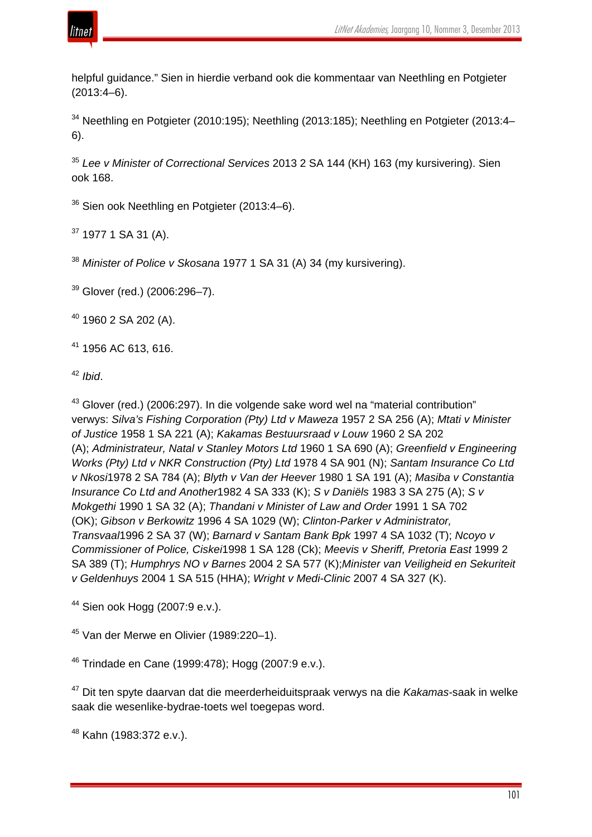

helpful guidance." Sien in hierdie verband ook die kommentaar van Neethling en Potgieter (2013:4–6).

<sup>34</sup> Neethling en Potgieter (2010:195); Neethling (2013:185); Neethling en Potgieter (2013:4– 6).

<sup>35</sup> *Lee v Minister of Correctional Services* 2013 2 SA 144 (KH) 163 (my kursivering). Sien ook 168.

<sup>36</sup> Sien ook Neethling en Potgieter (2013:4–6).

<sup>37</sup> 1977 1 SA 31 (A).

<sup>38</sup> *Minister of Police v Skosana* 1977 1 SA 31 (A) 34 (my kursivering).

<sup>39</sup> Glover (red.) (2006:296-7).

 $40$  1960 2 SA 202 (A).

<sup>41</sup> 1956 AC 613, 616.

<sup>42</sup> *Ibid*.

<sup>43</sup> Glover (red.) (2006:297). In die volgende sake word wel na "material contribution" verwys: *Silva's Fishing Corporation (Pty) Ltd v Maweza* 1957 2 SA 256 (A); *Mtati v Minister of Justice* 1958 1 SA 221 (A); *Kakamas Bestuursraad v Louw* 1960 2 SA 202 (A); *Administrateur, Natal v Stanley Motors Ltd* 1960 1 SA 690 (A); *Greenfield v Engineering Works (Pty) Ltd v NKR Construction (Pty) Ltd* 1978 4 SA 901 (N); *Santam Insurance Co Ltd v Nkosi*1978 2 SA 784 (A); *Blyth v Van der Heever* 1980 1 SA 191 (A); *Masiba v Constantia Insurance Co Ltd and Another*1982 4 SA 333 (K); *S v Daniëls* 1983 3 SA 275 (A); *S v Mokgethi* 1990 1 SA 32 (A); *Thandani v Minister of Law and Order* 1991 1 SA 702 (OK); *Gibson v Berkowitz* 1996 4 SA 1029 (W); *Clinton-Parker v Administrator, Transvaal*1996 2 SA 37 (W); *Barnard v Santam Bank Bpk* 1997 4 SA 1032 (T); *Ncoyo v Commissioner of Police, Ciskei*1998 1 SA 128 (Ck); *Meevis v Sheriff, Pretoria East* 1999 2 SA 389 (T); *Humphrys NO v Barnes* 2004 2 SA 577 (K);*Minister van Veiligheid en Sekuriteit v Geldenhuys* 2004 1 SA 515 (HHA); *Wright v Medi-Clinic* 2007 4 SA 327 (K).

<sup>44</sup> Sien ook Hogg (2007:9 e.v.).

<sup>45</sup> Van der Merwe en Olivier (1989:220–1).

<sup>46</sup> Trindade en Cane (1999:478); Hogg (2007:9 e.v.).

<sup>47</sup> Dit ten spyte daarvan dat die meerderheiduitspraak verwys na die *Kakamas-*saak in welke saak die wesenlike-bydrae-toets wel toegepas word.

<sup>48</sup> Kahn (1983:372 e.v.).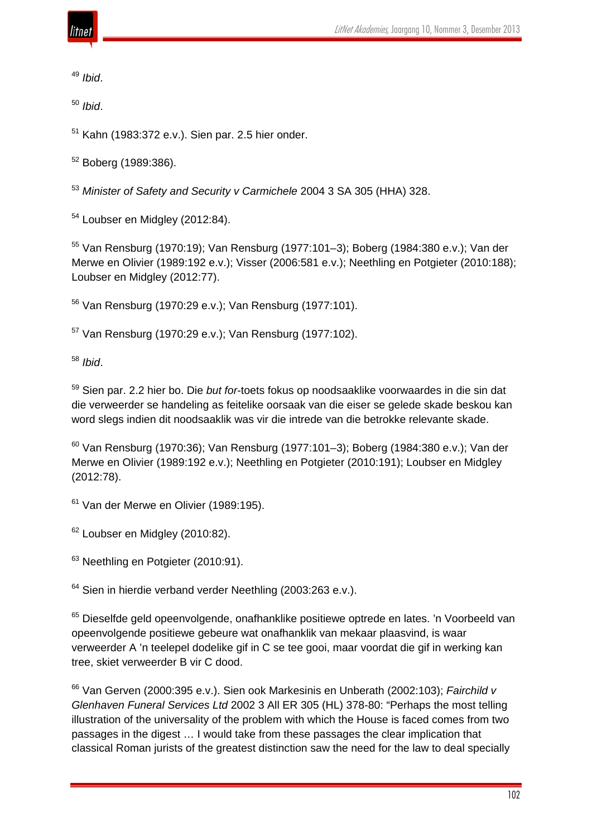<sup>49</sup> *Ibid*.

<sup>50</sup> *Ibid*.

 $51$  Kahn (1983:372 e.v.). Sien par. 2.5 hier onder.

<sup>52</sup> Boberg (1989:386).

<sup>53</sup> *Minister of Safety and Security v Carmichele* 2004 3 SA 305 (HHA) 328.

<sup>54</sup> Loubser en Midgley (2012:84).

<sup>55</sup> Van Rensburg (1970:19); Van Rensburg (1977:101–3); Boberg (1984:380 e.v.); Van der Merwe en Olivier (1989:192 e.v.); Visser (2006:581 e.v.); Neethling en Potgieter (2010:188); Loubser en Midgley (2012:77).

<sup>56</sup> Van Rensburg (1970:29 e.v.); Van Rensburg (1977:101).

<sup>57</sup> Van Rensburg (1970:29 e.v.); Van Rensburg (1977:102).

<sup>58</sup> *Ibid*.

<sup>59</sup> Sien par. 2.2 hier bo. Die *but for*-toets fokus op noodsaaklike voorwaardes in die sin dat die verweerder se handeling as feitelike oorsaak van die eiser se gelede skade beskou kan word slegs indien dit noodsaaklik was vir die intrede van die betrokke relevante skade.

 $60$  Van Rensburg (1970:36); Van Rensburg (1977:101–3); Boberg (1984:380 e.v.); Van der Merwe en Olivier (1989:192 e.v.); Neethling en Potgieter (2010:191); Loubser en Midgley (2012:78).

<sup>61</sup> Van der Merwe en Olivier (1989:195).

<sup>62</sup> Loubser en Midgley (2010:82).

<sup>63</sup> Neethling en Potgieter (2010:91).

<sup>64</sup> Sien in hierdie verband verder Neethling (2003:263 e.v.).

<sup>65</sup> Dieselfde geld opeenvolgende, onafhanklike positiewe optrede en lates. 'n Voorbeeld van opeenvolgende positiewe gebeure wat onafhanklik van mekaar plaasvind, is waar verweerder A 'n teelepel dodelike gif in C se tee gooi, maar voordat die gif in werking kan tree, skiet verweerder B vir C dood.

<sup>66</sup> Van Gerven (2000:395 e.v.). Sien ook Markesinis en Unberath (2002:103); *Fairchild v Glenhaven Funeral Services Ltd* 2002 3 All ER 305 (HL) 378-80: "Perhaps the most telling illustration of the universality of the problem with which the House is faced comes from two passages in the digest … I would take from these passages the clear implication that classical Roman jurists of the greatest distinction saw the need for the law to deal specially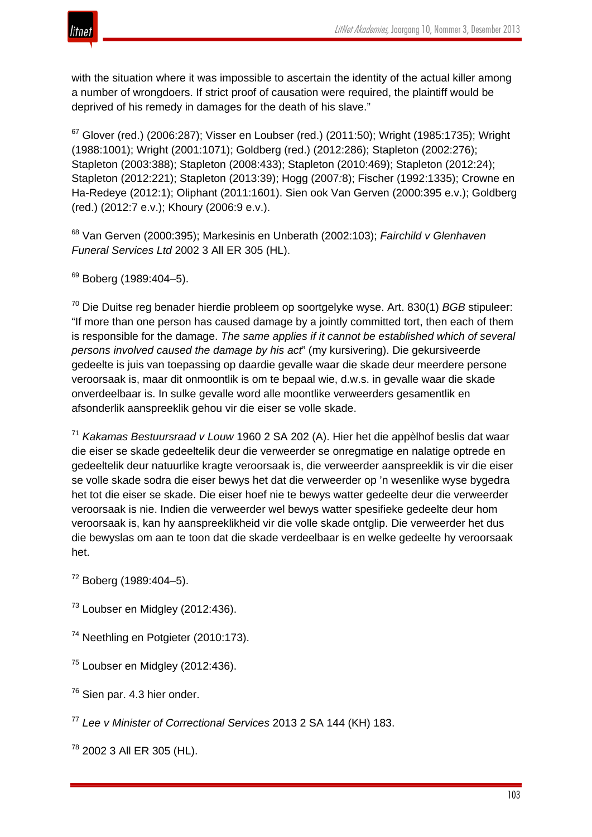



with the situation where it was impossible to ascertain the identity of the actual killer among a number of wrongdoers. If strict proof of causation were required, the plaintiff would be deprived of his remedy in damages for the death of his slave."

 $67$  Glover (red.) (2006:287); Visser en Loubser (red.) (2011:50); Wright (1985:1735); Wright (1988:1001); Wright (2001:1071); Goldberg (red.) (2012:286); Stapleton (2002:276); Stapleton (2003:388); Stapleton (2008:433); Stapleton (2010:469); Stapleton (2012:24); Stapleton (2012:221); Stapleton (2013:39); Hogg (2007*:*8); Fischer (1992:1335); Crowne en Ha-Redeye (2012:1); Oliphant (2011:1601). Sien ook Van Gerven (2000:395 e.v.); Goldberg (red.) (2012:7 e.v.); Khoury (2006:9 e.v.).

<sup>68</sup> Van Gerven (2000:395); Markesinis en Unberath (2002:103); *Fairchild v Glenhaven Funeral Services Ltd* 2002 3 All ER 305 (HL).

 $69$  Boberg (1989:404-5).

<sup>70</sup> Die Duitse reg benader hierdie probleem op soortgelyke wyse. Art. 830(1) *BGB* stipuleer: "If more than one person has caused damage by a jointly committed tort, then each of them is responsible for the damage. *The same applies if it cannot be established which of several persons involved caused the damage by his act*" (my kursivering). Die gekursiveerde gedeelte is juis van toepassing op daardie gevalle waar die skade deur meerdere persone veroorsaak is, maar dit onmoontlik is om te bepaal wie, d.w.s. in gevalle waar die skade onverdeelbaar is. In sulke gevalle word alle moontlike verweerders gesamentlik en afsonderlik aanspreeklik gehou vir die eiser se volle skade.

<sup>71</sup> *Kakamas Bestuursraad v Louw* 1960 2 SA 202 (A). Hier het die appèlhof beslis dat waar die eiser se skade gedeeltelik deur die verweerder se onregmatige en nalatige optrede en gedeeltelik deur natuurlike kragte veroorsaak is, die verweerder aanspreeklik is vir die eiser se volle skade sodra die eiser bewys het dat die verweerder op 'n wesenlike wyse bygedra het tot die eiser se skade. Die eiser hoef nie te bewys watter gedeelte deur die verweerder veroorsaak is nie. Indien die verweerder wel bewys watter spesifieke gedeelte deur hom veroorsaak is, kan hy aanspreeklikheid vir die volle skade ontglip. Die verweerder het dus die bewyslas om aan te toon dat die skade verdeelbaar is en welke gedeelte hy veroorsaak het.

 $72$  Boberg (1989:404-5).

 $73$  Loubser en Midgley (2012:436).

<sup>74</sup> Neethling en Potgieter (2010:173).

 $75$  Loubser en Midgley (2012:436).

<sup>76</sup> Sien par. 4.3 hier onder.

<sup>77</sup> *Lee v Minister of Correctional Services* 2013 2 SA 144 (KH) 183.

 $78$  2002 3 All ER 305 (HL).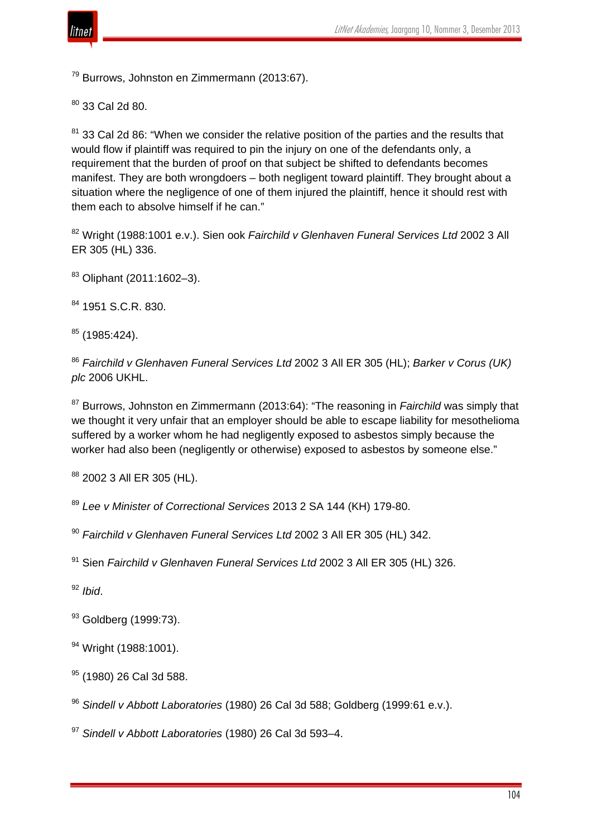

<sup>79</sup> Burrows, Johnston en Zimmermann (2013:67).

 $80$  33 Cal 2d 80.

 $81$  33 Cal 2d 86: "When we consider the relative position of the parties and the results that would flow if plaintiff was required to pin the injury on one of the defendants only, a requirement that the burden of proof on that subject be shifted to defendants becomes manifest. They are both wrongdoers – both negligent toward plaintiff. They brought about a situation where the negligence of one of them injured the plaintiff, hence it should rest with them each to absolve himself if he can."

<sup>82</sup> Wright (1988:1001 e.v.). Sien ook *Fairchild v Glenhaven Funeral Services Ltd* 2002 3 All ER 305 (HL) 336.

<sup>83</sup> Oliphant (2011:1602–3).

<sup>84</sup> 1951 S.C.R. 830.

 $85$  (1985:424).

<sup>86</sup> *Fairchild v Glenhaven Funeral Services Ltd* 2002 3 All ER 305 (HL); *Barker v Corus (UK) plc* 2006 UKHL.

<sup>87</sup> Burrows, Johnston en Zimmermann (2013:64): "The reasoning in *Fairchild* was simply that we thought it very unfair that an employer should be able to escape liability for mesothelioma suffered by a worker whom he had negligently exposed to asbestos simply because the worker had also been (negligently or otherwise) exposed to asbestos by someone else."

88 2002 3 All ER 305 (HL).

<sup>89</sup> *Lee v Minister of Correctional Services* 2013 2 SA 144 (KH) 179-80.

<sup>90</sup> *Fairchild v Glenhaven Funeral Services Ltd* 2002 3 All ER 305 (HL) 342.

<sup>91</sup> Sien *Fairchild v Glenhaven Funeral Services Ltd* 2002 3 All ER 305 (HL) 326.

<sup>92</sup> *Ibid*.

93 Goldberg (1999:73).

<sup>94</sup> Wright (1988:1001).

95 (1980) 26 Cal 3d 588.

<sup>96</sup> *Sindell v Abbott Laboratories* (1980) 26 Cal 3d 588; Goldberg (1999:61 e.v.).

<sup>97</sup> *Sindell v Abbott Laboratories* (1980) 26 Cal 3d 593–4.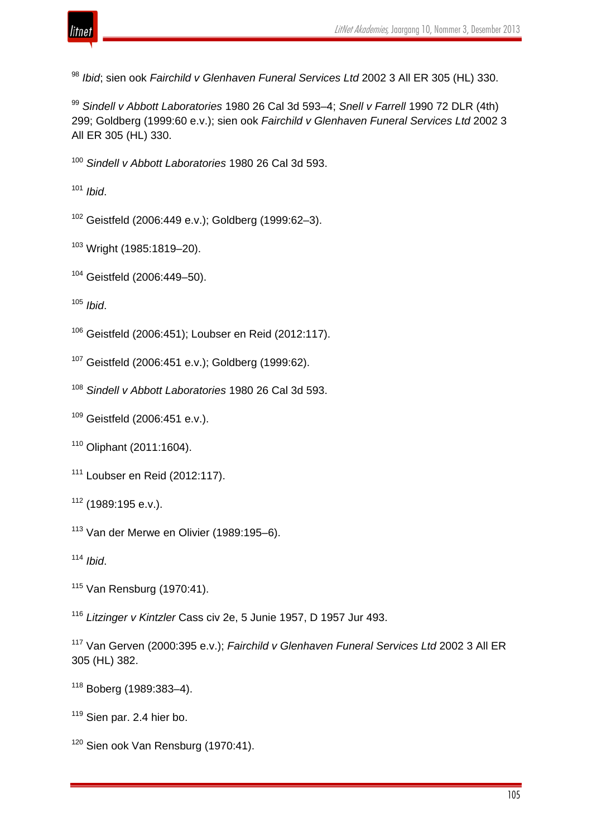

*Ibid*; sien ook *Fairchild v Glenhaven Funeral Services Ltd* 2002 3 All ER 305 (HL) 330.

 *Sindell v Abbott Laboratories* 1980 26 Cal 3d 593–4; *Snell v Farrell* 1990 72 DLR (4th) 299; Goldberg (1999:60 e.v.); sien ook *Fairchild v Glenhaven Funeral Services Ltd* 2002 3 All ER 305 (HL) 330.

*Sindell v Abbott Laboratories* 1980 26 Cal 3d 593.

*Ibid*.

Geistfeld (2006:449 e.v.); Goldberg (1999:62–3).

Wright (1985:1819–20).

Geistfeld (2006:449–50).

*Ibid*.

Geistfeld (2006:451); Loubser en Reid (2012:117).

Geistfeld (2006:451 e.v.); Goldberg (1999:62).

*Sindell v Abbott Laboratories* 1980 26 Cal 3d 593.

Geistfeld (2006:451 e.v.).

Oliphant (2011:1604).

Loubser en Reid (2012:117).

<sup>113</sup> Van der Merwe en Olivier (1989:195–6).

*Ibid*.

Van Rensburg (1970:41).

*Litzinger v Kintzler* Cass civ 2e, 5 Junie 1957, D 1957 Jur 493.

 Van Gerven (2000:395 e.v.); *Fairchild v Glenhaven Funeral Services Ltd* 2002 3 All ER 305 (HL) 382.

Boberg (1989:383–4).

<sup>119</sup> Sien par. 2.4 hier bo.

<sup>120</sup> Sien ook Van Rensburg (1970:41).

(1989:195 e.v.).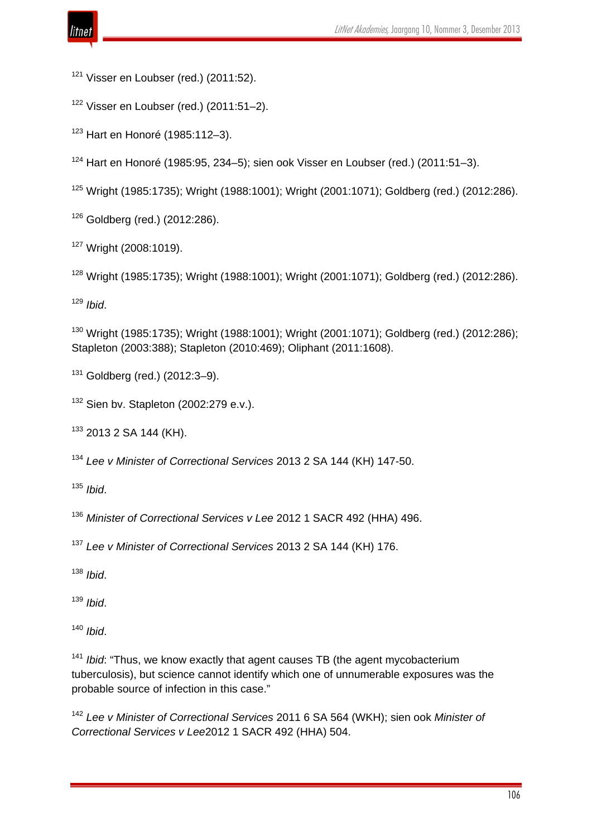Visser en Loubser (red.) (2011:52).

Visser en Loubser (red.) (2011:51-2).

Hart en Honoré (1985:112-3).

<sup>124</sup> Hart en Honoré (1985:95, 234–5); sien ook Visser en Loubser (red.) (2011:51–3).

Wright (1985:1735); Wright (1988:1001); Wright (2001:1071); Goldberg (red.) (2012:286).

- Goldberg (red.) (2012:286).
- Wright (2008:1019).

<sup>128</sup> Wright (1985:1735); Wright (1988:1001); Wright (2001:1071); Goldberg (red.) (2012:286).

*Ibid*.

 Wright (1985:1735); Wright (1988:1001); Wright (2001:1071); Goldberg (red.) (2012:286); Stapleton (2003:388); Stapleton (2010:469); Oliphant (2011:1608).

Goldberg (red.) (2012:3-9).

Sien bv. Stapleton (2002:279 e.v.).

<sup>133</sup> 2013 2 SA 144 (KH).

*Lee v Minister of Correctional Services* 2013 2 SA 144 (KH) 147-50.

*Ibid*.

*Minister of Correctional Services v Lee* 2012 1 SACR 492 (HHA) 496.

*Lee v Minister of Correctional Services* 2013 2 SA 144 (KH) 176.

*Ibid*.

*Ibid*.

*Ibid*.

<sup>141</sup> *Ibid*: "Thus, we know exactly that agent causes TB (the agent mycobacterium tuberculosis), but science cannot identify which one of unnumerable exposures was the probable source of infection in this case."

 *Lee v Minister of Correctional Services* 2011 6 SA 564 (WKH); sien ook *Minister of Correctional Services v Lee*2012 1 SACR 492 (HHA) 504.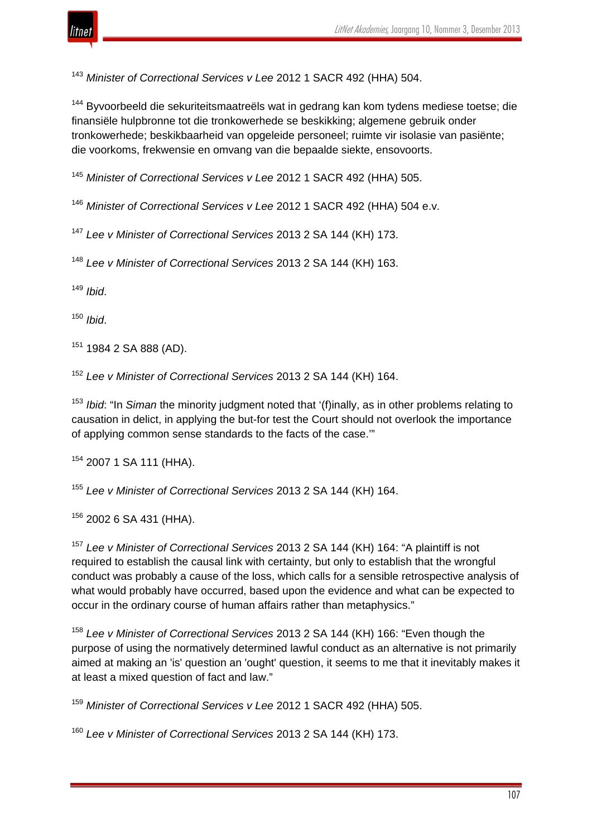

<sup>143</sup> *Minister of Correctional Services v Lee* 2012 1 SACR 492 (HHA) 504.

<sup>144</sup> Byvoorbeeld die sekuriteitsmaatreëls wat in gedrang kan kom tydens mediese toetse; die finansiële hulpbronne tot die tronkowerhede se beskikking; algemene gebruik onder tronkowerhede; beskikbaarheid van opgeleide personeel; ruimte vir isolasie van pasiënte; die voorkoms, frekwensie en omvang van die bepaalde siekte, ensovoorts.

<sup>145</sup> *Minister of Correctional Services v Lee* 2012 1 SACR 492 (HHA) 505.

<sup>146</sup> *Minister of Correctional Services v Lee* 2012 1 SACR 492 (HHA) 504 e.v.

<sup>147</sup> *Lee v Minister of Correctional Services* 2013 2 SA 144 (KH) 173.

<sup>148</sup> *Lee v Minister of Correctional Services* 2013 2 SA 144 (KH) 163.

<sup>149</sup> *Ibid*.

<sup>150</sup> *Ibid*.

<sup>151</sup> 1984 2 SA 888 (AD).

<sup>152</sup> *Lee v Minister of Correctional Services* 2013 2 SA 144 (KH) 164.

<sup>153</sup> *Ibid*: "In *Siman* the minority judgment noted that '(f)inally, as in other problems relating to causation in delict, in applying the but-for test the Court should not overlook the importance of applying common sense standards to the facts of the case.'"

<sup>154</sup> 2007 1 SA 111 (HHA).

<sup>155</sup> *Lee v Minister of Correctional Services* 2013 2 SA 144 (KH) 164.

<sup>156</sup> 2002 6 SA 431 (HHA).

<sup>157</sup> *Lee v Minister of Correctional Services* 2013 2 SA 144 (KH) 164: "A plaintiff is not required to establish the causal link with certainty, but only to establish that the wrongful conduct was probably a cause of the loss, which calls for a sensible retrospective analysis of what would probably have occurred, based upon the evidence and what can be expected to occur in the ordinary course of human affairs rather than metaphysics."

<sup>158</sup> *Lee v Minister of Correctional Services* 2013 2 SA 144 (KH) 166: "Even though the purpose of using the normatively determined lawful conduct as an alternative is not primarily aimed at making an 'is' question an 'ought' question, it seems to me that it inevitably makes it at least a mixed question of fact and law."

<sup>159</sup> *Minister of Correctional Services v Lee* 2012 1 SACR 492 (HHA) 505.

<sup>160</sup> *Lee v Minister of Correctional Services* 2013 2 SA 144 (KH) 173.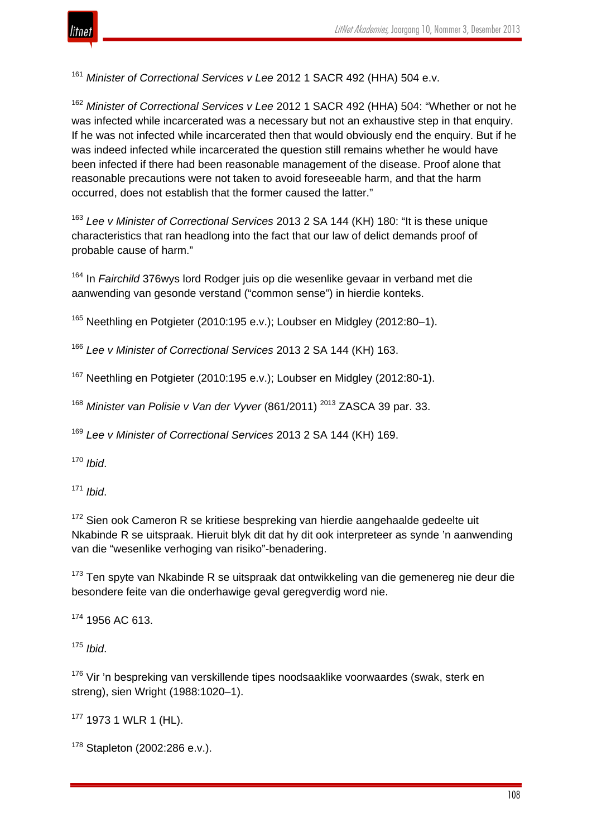

<sup>161</sup> *Minister of Correctional Services v Lee* 2012 1 SACR 492 (HHA) 504 e.v.

<sup>162</sup> *Minister of Correctional Services v Lee* 2012 1 SACR 492 (HHA) 504: "Whether or not he was infected while incarcerated was a necessary but not an exhaustive step in that enquiry. If he was not infected while incarcerated then that would obviously end the enquiry. But if he was indeed infected while incarcerated the question still remains whether he would have been infected if there had been reasonable management of the disease. Proof alone that reasonable precautions were not taken to avoid foreseeable harm, and that the harm occurred, does not establish that the former caused the latter."

<sup>163</sup> *Lee v Minister of Correctional Services* 2013 2 SA 144 (KH) 180: "It is these unique characteristics that ran headlong into the fact that our law of delict demands proof of probable cause of harm."

<sup>164</sup> In *Fairchild* 376wys lord Rodger juis op die wesenlike gevaar in verband met die aanwending van gesonde verstand ("common sense") in hierdie konteks.

<sup>165</sup> Neethling en Potgieter (2010:195 e.v.); Loubser en Midgley (2012:80–1).

<sup>166</sup> *Lee v Minister of Correctional Services* 2013 2 SA 144 (KH) 163.

<sup>167</sup> Neethling en Potgieter (2010:195 e.v.); Loubser en Midgley (2012:80-1).

<sup>168</sup> *Minister van Polisie v Van der Vyver* (861/2011) <sup>2013</sup> ZASCA 39 par. 33.

<sup>169</sup> *Lee v Minister of Correctional Services* 2013 2 SA 144 (KH) 169.

<sup>170</sup> *Ibid*.

<sup>171</sup> *Ibid*.

 $172$  Sien ook Cameron R se kritiese bespreking van hierdie aangehaalde gedeelte uit Nkabinde R se uitspraak. Hieruit blyk dit dat hy dit ook interpreteer as synde 'n aanwending van die "wesenlike verhoging van risiko"-benadering.

 $173$  Ten spyte van Nkabinde R se uitspraak dat ontwikkeling van die gemenereg nie deur die besondere feite van die onderhawige geval geregverdig word nie.

<sup>174</sup> 1956 AC 613.

<sup>175</sup> *Ibid*.

<sup>176</sup> Vir 'n bespreking van verskillende tipes noodsaaklike voorwaardes (swak, sterk en streng), sien Wright (1988:1020–1).

<sup>177</sup> 1973 1 WLR 1 (HL).

<sup>178</sup> Stapleton (2002:286 e.v.).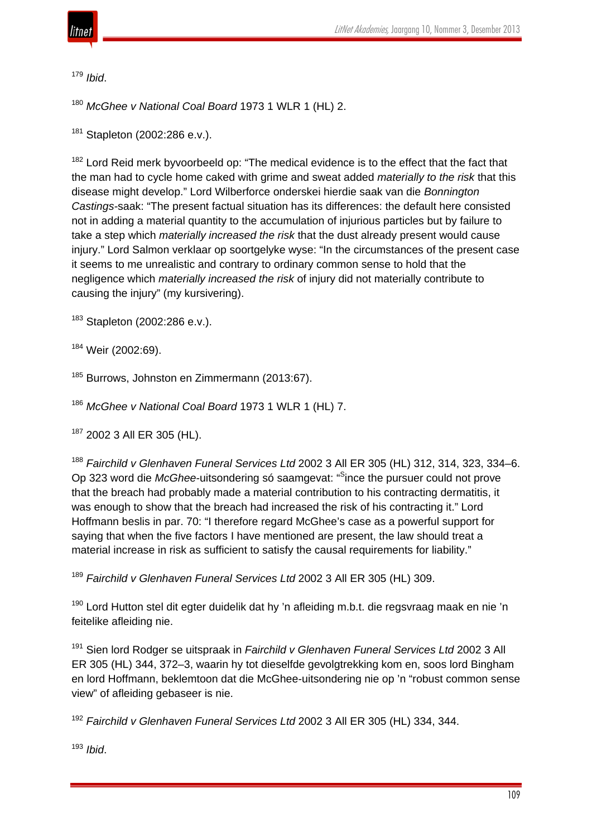

<sup>179</sup> *Ibid*.

<sup>180</sup> *McGhee v National Coal Board* 1973 1 WLR 1 (HL) 2.

 $181$  Stapleton (2002:286 e.v.).

 $182$  Lord Reid merk byvoorbeeld op: "The medical evidence is to the effect that the fact that the man had to cycle home caked with grime and sweat added *materially to the risk* that this disease might develop." Lord Wilberforce onderskei hierdie saak van die *Bonnington Castings-*saak: "The present factual situation has its differences: the default here consisted not in adding a material quantity to the accumulation of injurious particles but by failure to take a step which *materially increased the risk* that the dust already present would cause injury." Lord Salmon verklaar op soortgelyke wyse: "In the circumstances of the present case it seems to me unrealistic and contrary to ordinary common sense to hold that the negligence which *materially increased the risk* of injury did not materially contribute to causing the injury" (my kursivering).

<sup>183</sup> Stapleton (2002:286 e.v.).

<sup>184</sup> Weir (2002:69).

<sup>185</sup> Burrows, Johnston en Zimmermann (2013:67).

<sup>186</sup> *McGhee v National Coal Board* 1973 1 WLR 1 (HL) 7.

 $187$  2002 3 All ER 305 (HL).

<sup>188</sup> *Fairchild v Glenhaven Funeral Services Ltd* 2002 3 All ER 305 (HL) 312, 314, 323, 334–6. Op 323 word die *McGhee*-uitsondering só saamgevat: "<sup>S</sup>ince the pursuer could not prove that the breach had probably made a material contribution to his contracting dermatitis, it was enough to show that the breach had increased the risk of his contracting it." Lord Hoffmann beslis in par. 70: "I therefore regard McGhee's case as a powerful support for saying that when the five factors I have mentioned are present, the law should treat a material increase in risk as sufficient to satisfy the causal requirements for liability."

<sup>189</sup> *Fairchild v Glenhaven Funeral Services Ltd* 2002 3 All ER 305 (HL) 309.

 $190$  Lord Hutton stel dit egter duidelik dat hy 'n afleiding m.b.t. die regsvraag maak en nie 'n feitelike afleiding nie.

<sup>191</sup> Sien lord Rodger se uitspraak in *Fairchild v Glenhaven Funeral Services Ltd* 2002 3 All ER 305 (HL) 344, 372–3, waarin hy tot dieselfde gevolgtrekking kom en, soos lord Bingham en lord Hoffmann, beklemtoon dat die McGhee-uitsondering nie op 'n "robust common sense view" of afleiding gebaseer is nie.

<sup>192</sup> *Fairchild v Glenhaven Funeral Services Ltd* 2002 3 All ER 305 (HL) 334, 344.

<sup>193</sup> *Ibid*.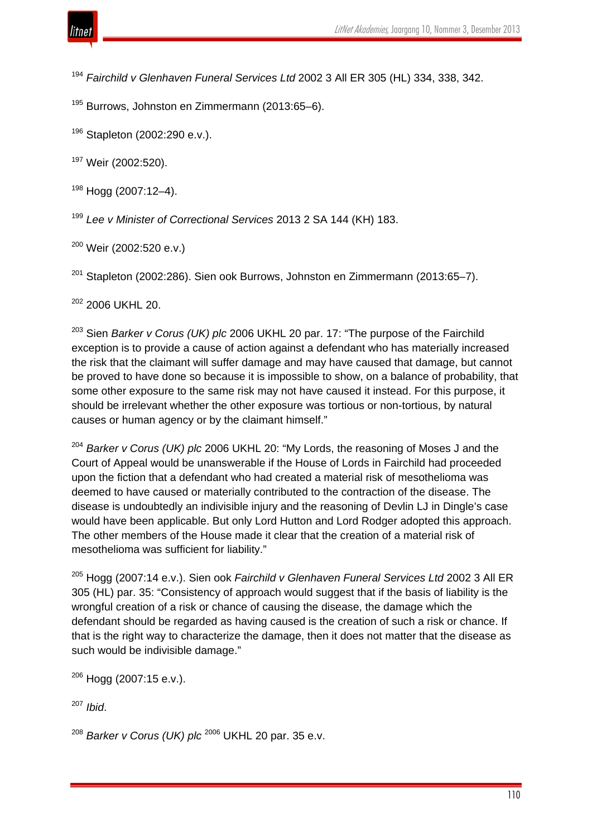<sup>194</sup> *Fairchild v Glenhaven Funeral Services Ltd* 2002 3 All ER 305 (HL) 334, 338, 342.

<sup>195</sup> Burrows, Johnston en Zimmermann (2013:65–6).

<sup>196</sup> Stapleton (2002:290 e.v.).

<sup>197</sup> Weir (2002:520).

<sup>198</sup> Hogg (2007:12–4).

<sup>199</sup> *Lee v Minister of Correctional Services* 2013 2 SA 144 (KH) 183.

<sup>200</sup> Weir (2002:520 e.v.)

 $201$  Stapleton (2002:286). Sien ook Burrows, Johnston en Zimmermann (2013:65–7).

<sup>202</sup> 2006 UKHL 20.

<sup>203</sup> Sien *Barker v Corus (UK) plc* 2006 UKHL 20 par. 17: "The purpose of the Fairchild exception is to provide a cause of action against a defendant who has materially increased the risk that the claimant will suffer damage and may have caused that damage, but cannot be proved to have done so because it is impossible to show, on a balance of probability, that some other exposure to the same risk may not have caused it instead. For this purpose, it should be irrelevant whether the other exposure was tortious or non-tortious, by natural causes or human agency or by the claimant himself."

<sup>204</sup> *Barker v Corus (UK) plc* 2006 UKHL 20: "My Lords, the reasoning of Moses J and the Court of Appeal would be unanswerable if the House of Lords in Fairchild had proceeded upon the fiction that a defendant who had created a material risk of mesothelioma was deemed to have caused or materially contributed to the contraction of the disease. The disease is undoubtedly an indivisible injury and the reasoning of Devlin LJ in Dingle's case would have been applicable. But only Lord Hutton and Lord Rodger adopted this approach. The other members of the House made it clear that the creation of a material risk of mesothelioma was sufficient for liability."

<sup>205</sup> Hogg (2007:14 e.v.). Sien ook *Fairchild v Glenhaven Funeral Services Ltd* 2002 3 All ER 305 (HL) par. 35: "Consistency of approach would suggest that if the basis of liability is the wrongful creation of a risk or chance of causing the disease, the damage which the defendant should be regarded as having caused is the creation of such a risk or chance. If that is the right way to characterize the damage, then it does not matter that the disease as such would be indivisible damage."

 $206$  Hogg (2007:15 e.v.).

<sup>207</sup> *Ibid*.

<sup>208</sup> *Barker v Corus (UK) plc* <sup>2006</sup> UKHL 20 par. 35 e.v.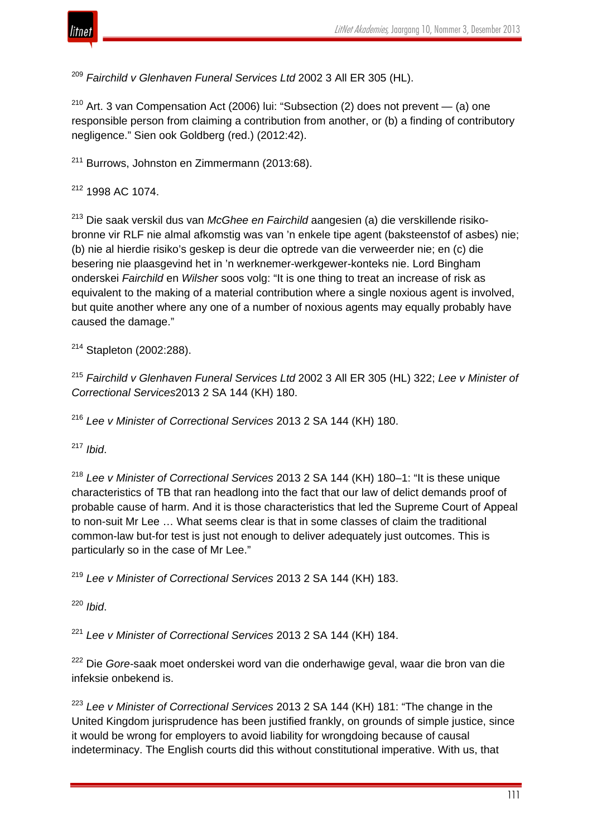

<sup>209</sup> *Fairchild v Glenhaven Funeral Services Ltd* 2002 3 All ER 305 (HL).

 $210$  Art. 3 van Compensation Act (2006) lui: "Subsection (2) does not prevent - (a) one responsible person from claiming a contribution from another, or (b) a finding of contributory negligence." Sien ook Goldberg (red.) (2012:42).

<sup>211</sup> Burrows, Johnston en Zimmermann (2013:68).

<sup>212</sup> 1998 AC 1074.

<sup>213</sup> Die saak verskil dus van *McGhee en Fairchild* aangesien (a) die verskillende risikobronne vir RLF nie almal afkomstig was van 'n enkele tipe agent (baksteenstof of asbes) nie; (b) nie al hierdie risiko's geskep is deur die optrede van die verweerder nie; en (c) die besering nie plaasgevind het in 'n werknemer-werkgewer-konteks nie. Lord Bingham onderskei *Fairchild* en *Wilsher* soos volg: "It is one thing to treat an increase of risk as equivalent to the making of a material contribution where a single noxious agent is involved, but quite another where any one of a number of noxious agents may equally probably have caused the damage."

<sup>214</sup> Stapleton (2002:288).

<sup>215</sup> *Fairchild v Glenhaven Funeral Services Ltd* 2002 3 All ER 305 (HL) 322; *Lee v Minister of Correctional Services*2013 2 SA 144 (KH) 180.

<sup>216</sup> *Lee v Minister of Correctional Services* 2013 2 SA 144 (KH) 180.

<sup>217</sup> *Ibid*.

<sup>218</sup> *Lee v Minister of Correctional Services* 2013 2 SA 144 (KH) 180–1: "It is these unique characteristics of TB that ran headlong into the fact that our law of delict demands proof of probable cause of harm. And it is those characteristics that led the Supreme Court of Appeal to non-suit Mr Lee … What seems clear is that in some classes of claim the traditional common-law but-for test is just not enough to deliver adequately just outcomes. This is particularly so in the case of Mr Lee."

<sup>219</sup> *Lee v Minister of Correctional Services* 2013 2 SA 144 (KH) 183.

<sup>220</sup> *Ibid*.

<sup>221</sup> *Lee v Minister of Correctional Services* 2013 2 SA 144 (KH) 184.

<sup>222</sup> Die *Gore-*saak moet onderskei word van die onderhawige geval, waar die bron van die infeksie onbekend is.

<sup>223</sup> *Lee v Minister of Correctional Services* 2013 2 SA 144 (KH) 181: "The change in the United Kingdom jurisprudence has been justified frankly, on grounds of simple justice, since it would be wrong for employers to avoid liability for wrongdoing because of causal indeterminacy. The English courts did this without constitutional imperative. With us, that